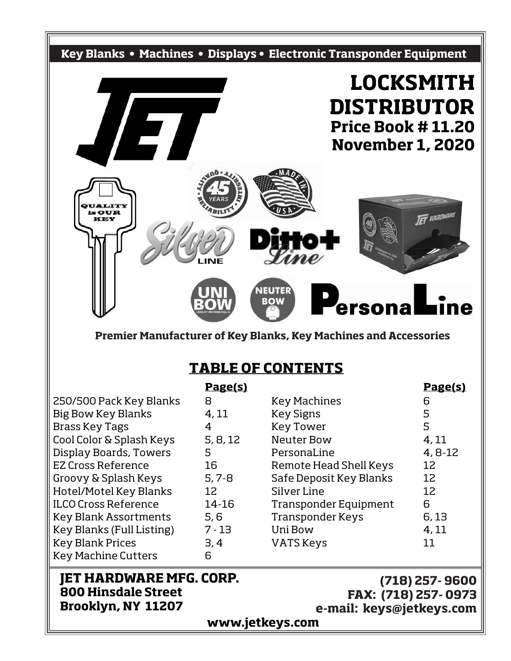

**Premier Manufacturer of Key Blanks, Key Machines and Accessories**

### **TABLE OF CONTENTS**

|                                                                                                                                                           | <u>Page(s)</u>  |                         | <u>Page(s)</u> |  |  |  |  |  |  |
|-----------------------------------------------------------------------------------------------------------------------------------------------------------|-----------------|-------------------------|----------------|--|--|--|--|--|--|
| 250/500 Pack Key Blanks                                                                                                                                   | 8               | <b>Key Machines</b>     | 6              |  |  |  |  |  |  |
| <b>Big Bow Key Blanks</b>                                                                                                                                 | 4, 11           | <b>Key Signs</b>        | 5              |  |  |  |  |  |  |
| <b>Brass Key Tags</b>                                                                                                                                     | 4               | <b>Key Tower</b>        | 5              |  |  |  |  |  |  |
| Cool Color & Splash Keys                                                                                                                                  | 5, 8, 12        | Neuter Bow              | 4,11           |  |  |  |  |  |  |
| <b>Display Boards, Towers</b>                                                                                                                             | 5               | PersonaLine             | $4, 8-12$      |  |  |  |  |  |  |
| EZ Cross Reference                                                                                                                                        | 16              | Remote Head Shell Keys  | 12             |  |  |  |  |  |  |
| Groovy & Splash Keys                                                                                                                                      | $5, 7 - 8$      | Safe Deposit Key Blanks | 12             |  |  |  |  |  |  |
| Hotel/Motel Key Blanks                                                                                                                                    | 12              | Silver Line             | 12             |  |  |  |  |  |  |
| <b>ILCO Cross Reference</b>                                                                                                                               | 14-16           | Transponder Equipment   | 6              |  |  |  |  |  |  |
| <b>Key Blank Assortments</b>                                                                                                                              | 5,6             | <b>Transponder Keys</b> | 6,13           |  |  |  |  |  |  |
| Key Blanks (Full Listing)                                                                                                                                 | $7 - 13$        | Uni Bow                 | 4,11           |  |  |  |  |  |  |
| <b>Key Blank Prices</b>                                                                                                                                   | 3,4             | <b>VATS Keys</b>        | 11             |  |  |  |  |  |  |
| <b>Key Machine Cutters</b>                                                                                                                                | 6               |                         |                |  |  |  |  |  |  |
| <b>JET HARDWARE MFG. CORP.</b><br>$(718)$ 257-9600<br><b>800 Hinsdale Street</b><br>FAX: (718) 257-0973<br>Brooklyn, NY 11207<br>e-mail: keys@jetkeys.com |                 |                         |                |  |  |  |  |  |  |
|                                                                                                                                                           | www.jetkeys.com |                         |                |  |  |  |  |  |  |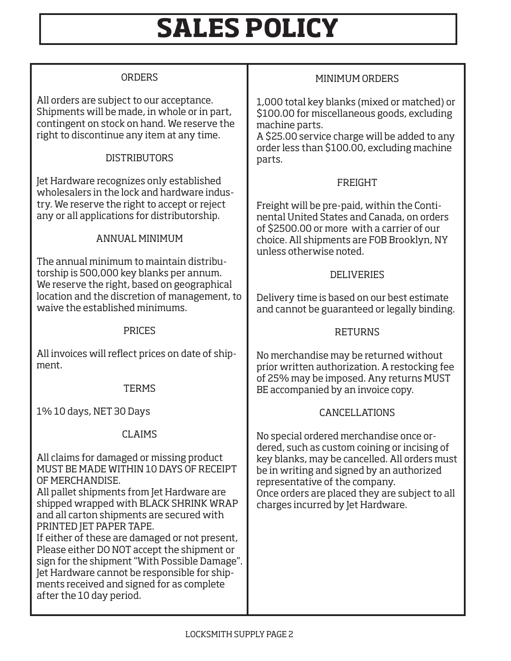# **SALES POLICY**

| <b>ORDERS</b>                                                                                                                                                                                                                                                                                                                                                                                                                                                                                                                                                      | <b>MINIMUM ORDERS</b>                                                                                                                                                                                                                                                                                          |
|--------------------------------------------------------------------------------------------------------------------------------------------------------------------------------------------------------------------------------------------------------------------------------------------------------------------------------------------------------------------------------------------------------------------------------------------------------------------------------------------------------------------------------------------------------------------|----------------------------------------------------------------------------------------------------------------------------------------------------------------------------------------------------------------------------------------------------------------------------------------------------------------|
| All orders are subject to our acceptance.<br>Shipments will be made, in whole or in part,<br>contingent on stock on hand. We reserve the<br>right to discontinue any item at any time.<br><b>DISTRIBUTORS</b>                                                                                                                                                                                                                                                                                                                                                      | 1,000 total key blanks (mixed or matched) or<br>\$100.00 for miscellaneous goods, excluding<br>machine parts.<br>A \$25.00 service charge will be added to any<br>order less than \$100.00, excluding machine<br>parts.                                                                                        |
| Jet Hardware recognizes only established<br>wholesalers in the lock and hardware indus-<br>try. We reserve the right to accept or reject<br>any or all applications for distributorship.<br><b>ANNUAL MINIMUM</b>                                                                                                                                                                                                                                                                                                                                                  | <b>FREIGHT</b><br>Freight will be pre-paid, within the Conti-<br>nental United States and Canada, on orders<br>of \$2500.00 or more with a carrier of our<br>choice. All shipments are FOB Brooklyn, NY                                                                                                        |
| The annual minimum to maintain distribu-<br>torship is 500,000 key blanks per annum.<br>We reserve the right, based on geographical<br>location and the discretion of management, to<br>waive the established minimums.                                                                                                                                                                                                                                                                                                                                            | unless otherwise noted.<br><b>DELIVERIES</b><br>Delivery time is based on our best estimate<br>and cannot be guaranteed or legally binding.                                                                                                                                                                    |
| <b>PRICES</b>                                                                                                                                                                                                                                                                                                                                                                                                                                                                                                                                                      | <b>RETURNS</b>                                                                                                                                                                                                                                                                                                 |
| All invoices will reflect prices on date of ship-<br>ment.<br><b>TERMS</b>                                                                                                                                                                                                                                                                                                                                                                                                                                                                                         | No merchandise may be returned without<br>prior written authorization. A restocking fee<br>of 25% may be imposed. Any returns MUST<br>BE accompanied by an invoice copy.                                                                                                                                       |
| 1% 10 days, NET 30 Days                                                                                                                                                                                                                                                                                                                                                                                                                                                                                                                                            | CANCELLATIONS                                                                                                                                                                                                                                                                                                  |
| <b>CLAIMS</b><br>All claims for damaged or missing product<br>MUST BE MADE WITHIN 10 DAYS OF RECEIPT<br>OF MERCHANDISE.<br>All pallet shipments from Jet Hardware are<br>shipped wrapped with BLACK SHRINK WRAP<br>and all carton shipments are secured with<br>PRINTED JET PAPER TAPE.<br>If either of these are damaged or not present,<br>Please either DO NOT accept the shipment or<br>sign for the shipment "With Possible Damage".<br>Jet Hardware cannot be responsible for ship-<br>ments received and signed for as complete<br>after the 10 day period. | No special ordered merchandise once or-<br>dered, such as custom coining or incising of<br>key blanks, may be cancelled. All orders must<br>be in writing and signed by an authorized<br>representative of the company.<br>Once orders are placed they are subject to all<br>charges incurred by Jet Hardware. |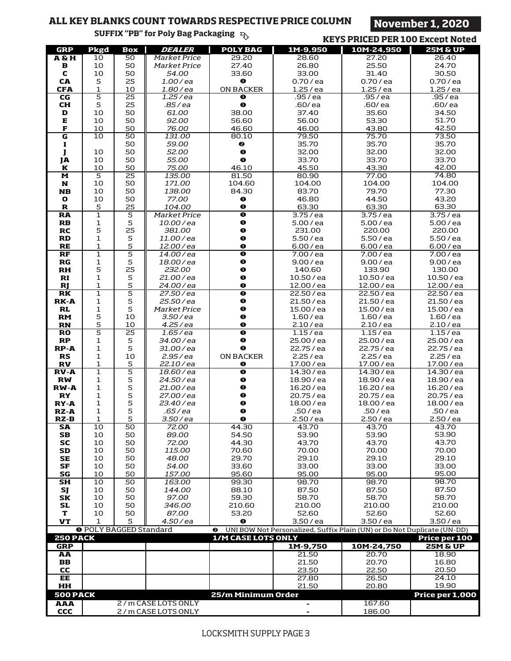#### LOCKSMITH SUPPLY PAGE 3

|                                        |                               |                       | <b>SULLIX LD 101 LOIA DAR LACKABILIE</b> $\exists$ |                                |                                                                         | <b>KEYS PRICED PER 100 Except Noted</b> |                           |
|----------------------------------------|-------------------------------|-----------------------|----------------------------------------------------|--------------------------------|-------------------------------------------------------------------------|-----------------------------------------|---------------------------|
| <b>GRP</b>                             | Pkgd                          | <b>Box</b>            | <b>DEALER</b>                                      | <b>POLY BAG</b>                | 1M-9,950                                                                | 10M-24,950                              | <b>25M &amp; UP</b>       |
| $A \& H$                               | 10                            | 50                    | <b>Market Price</b>                                | 29.20                          | 28.60                                                                   | 27.20                                   | 26.40                     |
| в                                      | 10                            | 50                    | Market Price                                       | 27.40                          | 26.80                                                                   | 25.50                                   | 24.70                     |
| C                                      | $10$                          | 50                    | 54.00                                              | 33.60                          | 33.00                                                                   | 31.40                                   | 30.50                     |
| CA                                     | 5                             | 25                    | $1.00$ /ea                                         | $\bullet$                      | 0.70 / ea                                                               | 0.70 / ea                               | 0.70 / ea                 |
| <b>CFA</b><br>$\overline{\mathsf{CG}}$ | $\mathbf{1}$<br>5             | 10<br>$\overline{25}$ | $1.80$ /ea<br>$1.25$ /ea                           | <b>ON BACKER</b><br>❶          | 1.25 / ea<br>.95 / ea                                                   | 1.25/ea<br>.95/ea                       | 1.25/ea<br>$.95$ /ea      |
| <b>CH</b>                              | 5                             | 25                    | .85 / ea                                           | $\bullet$                      | .60/ea                                                                  | .60/ ea                                 | .60/ea                    |
| D                                      | 10                            | 50                    | 61.00                                              | 38.00                          | 37.40                                                                   | 35.60                                   | 34.50                     |
| ${\bf E}$                              | 10                            | 50                    | 92.00                                              | 56.60                          | 56.00                                                                   | 53.30                                   | 51.70                     |
| $\mathbf{F}% _{0}$                     | 10                            | 50                    | 76.00                                              | 46.60                          | 46.00                                                                   | 43.80                                   | 42.50                     |
| G                                      | 10                            | 50                    | 131.00                                             | 80.10                          | 79.50                                                                   | 75.70                                   | 73.50                     |
| п                                      |                               | 50                    | 59.00                                              | ❷                              | 35.70                                                                   | 35.70                                   | 35.70                     |
| J                                      | 10                            | 50                    | 52.00                                              | $\bullet$                      | 32.00                                                                   | 32.00                                   | 32.00                     |
| JA                                     | 10                            | 50                    | 55.00                                              | $\bullet$                      | 33.70                                                                   | 33.70                                   | 33.70                     |
| K<br>$\overline{\mathbf{M}}$           | 10<br>$\overline{5}$          | 50<br>25              | 75.00<br>135.00                                    | 46.10<br>81.50                 | 45.50<br>80.90                                                          | 43.30<br>77.00                          | 42.00<br>74.80            |
| N                                      | 10                            | 50                    | 171.00                                             | 104.60                         | 104.00                                                                  | 104.00                                  | 104.00                    |
| <b>NB</b>                              | 10                            | 50                    | 138.00                                             | 84.30                          | 83.70                                                                   | 79.70                                   | 77.30                     |
| O                                      | $10$                          | 50                    | 77.00                                              | $\bullet$                      | 46.80                                                                   | 44.50                                   | 43.20                     |
| R                                      | 5                             | 25                    | 104.00                                             | $\bullet$                      | 63.30                                                                   | 63.30                                   | 63.30                     |
| <b>RA</b>                              | $\overline{1}$                | 5                     | Market Price                                       | $\bullet$                      | 3.75/ea                                                                 | 3.75 / ea                               | 3.75/ea                   |
| ${\bf RB}$                             | $\mathbf 1$                   | 5                     | 10.00/ea                                           | $\bullet$                      | 5.00 / ea                                                               | 5.00 / ea                               | 5.00 / ea                 |
| RC                                     | 5                             | 25                    | 381.00                                             | $\bullet$                      | 231.00                                                                  | 220.00                                  | 220.00                    |
| <b>RD</b>                              | $\mathbf 1$<br>$\mathbf{1}$   | 5<br>5                | 11.00/ea                                           | $\bullet$<br>$\bullet$         | 5.50 / ea<br>6.00 / ea                                                  | 5.50 / ea                               | 5.50 / ea                 |
| <b>RE</b><br>RF                        | $\overline{1}$                | $\overline{5}$        | 12.00/ea<br>14.00/ea                               | $\bullet$                      | 7.00 / ea                                                               | 6.00 / ea<br>7.00 / ea                  | 6.00 / ea<br>7.00 / ea    |
| $_{RG}$                                | $\mathbf{1}$                  | 5                     | 18.00/ea                                           | $\bullet$                      | 9.00 / ea                                                               | 9.00 / ea                               | 9.00 / ea                 |
| <b>RH</b>                              | 5                             | 25                    | 232.00                                             | $\bullet$                      | 140.60                                                                  | 133.90                                  | 130.00                    |
| RI                                     | $\mathbf{1}$                  | 5                     | 21.00/ea                                           | $\bullet$                      | 10.50/ea                                                                | 10.50 / ea                              | 10.50 / ea                |
| R                                      | $\mathbf{1}$                  | 5                     | 24.00/ea                                           | $\bullet$                      | 12.00 / ea                                                              | 12.00 / ea                              | 12.00 / ea                |
| RK                                     | $\overline{1}$                | 5                     | 27.50/ea                                           | $\bullet$                      | 22.50 / ea                                                              | 22.50 / ea                              | 22.50 / ea                |
| <b>RK-A</b>                            | $\mathbf{1}$                  | 5                     | 25.50 / ea                                         | $\bullet$                      | 21.50 / ea                                                              | 21.50 / ea                              | 21.50 / ea                |
| RL                                     | $\mathbf{1}$                  | 5                     | Market Price                                       | $\bullet$                      | 15.00 / ea                                                              | 15.00 / ea                              | 15.00 / ea                |
| <b>RM</b><br><b>RN</b>                 | 5<br>5                        | 10<br>10              | $3.50$ / ea<br>$4.25$ / ea                         | $\bullet$<br>$\bullet$         | $1.60$ / ea                                                             | $1.60$ / ea                             | $1.60$ / ea<br>2.10 / ea  |
| <b>RO</b>                              | 5                             | 25                    | $1.65$ /ea                                         | $\overline{\mathbf{o}}$        | 2.10 / ea<br>1.15/ea                                                    | 2.10 / ea<br>1.15/ea                    | 1.15/ea                   |
| $\mathbf{RP}$                          | $\mathbf{1}$                  | 5                     | 34.00 / ea                                         | $\bullet$                      | 25.00 / ea                                                              | 25.00 / ea                              | 25.00 / ea                |
| <b>RP-A</b>                            | $\mathbf 1$                   | 5                     | 31.00 / ea                                         | $\bullet$                      | 22.75 / ea                                                              | 22.75 / ea                              | 22.75 / ea                |
| <b>RS</b>                              | $\mathbf 1$                   | 10                    | $2.95$ /ea                                         | <b>ON BACKER</b>               | 2.25/ea                                                                 | 2.25/ea                                 | 2.25/ea                   |
| $\mathbf{R}\mathbf{V}$                 | $\mathbf{1}$                  | 5                     | 22.10/ea                                           | 0                              | 17.00 / ea                                                              | 17.00 / ea                              | 17.00 / ea                |
| $RV - A$                               | $\mathbf 1$                   | 5                     | 18.60/ea                                           | $\bullet$                      | 14.30 / ea                                                              | 14.30 / ea                              | 14.30 / ea                |
| $\mathbf{R}\mathbf{W}$<br><b>RW-A</b>  | $\mathbf{1}$                  | 5                     | 24.50/ea                                           | $\bullet$                      | 18.90 / ea                                                              | 18.90 / ea                              | 18.90 / ea                |
| RY                                     | $\mathbf{1}$<br>$\mathbf{1}$  | 5<br>5                | 21.00/ea<br>27.00 / ea                             | $\bullet$<br>$\bullet$         | 16.20/ea<br>20.75 / ea                                                  | 16.20/ea<br>20.75 / ea                  | 16.20/ea<br>20.75 / ea    |
| RY-A                                   | $\mathbf{1}$                  | 5                     | 23.40/ea                                           | $\bullet$                      | 18.00 / ea                                                              | 18.00 / ea                              | 18.00 / ea                |
| <b>RZ-A</b>                            | 1                             | 5                     | .65 / ea                                           | $\mathbf 0$                    | .50 / ea                                                                | .50 / ea                                | .50 / ea                  |
| RZ-B                                   | $\mathbf{1}$                  | 5                     | 3.50 / ea                                          | $\bullet$                      | 2.50/ea                                                                 | 2.50 / ea                               | 2.50/ea                   |
| SA                                     | 10                            | 50                    | 72.00                                              | 44.30                          | 43.70                                                                   | 43.70                                   | 43.70                     |
| SВ                                     | 10                            | 50                    | 89.00                                              | 54.50                          | 53.90                                                                   | 53.90                                   | 53.90                     |
| <b>SC</b>                              | 10                            | 50                    | 72.00                                              | 44.30                          | 43.70                                                                   | 43.70                                   | 43.70                     |
| SD                                     | 10<br>10                      | 50<br>50              | <i>115.00</i><br>48.00                             | 70.60<br>29.70                 | 70.00<br>29.10                                                          | 70.00<br>29.10                          | 70.00<br>29.10            |
| <b>SE</b><br>SF                        | 10                            | 50                    | 54.00                                              | 33.60                          | 33.00                                                                   | 33.00                                   | 33.00                     |
| SG                                     | 10                            | 50                    | 157.00                                             | 95.60                          | 95.00                                                                   | 95.00                                   | 95.00                     |
| <b>SH</b>                              | 10                            | 50                    | 163.00                                             | 99.30                          | 98.70                                                                   | 98.70                                   | 98.70                     |
| SJ                                     | 10                            | 50                    | 144.00                                             | 88.10                          | 87.50                                                                   | 87.50                                   | 87.50                     |
| SK                                     | 10                            | 50                    | 97.00                                              | 59.30                          | 58.70                                                                   | 58.70                                   | 58.70                     |
| <b>SL</b>                              | 10                            | 50                    | 346.00                                             | 210.60                         | 210.00                                                                  | 210.00                                  | 210.00                    |
| т                                      | 10                            | 50                    | 87.00                                              | 53.20                          | 52.60                                                                   | 52.60                                   | 52.60                     |
| <b>VT</b>                              | $\mathbf{1}$                  | 5                     | $4.50$ / ea                                        | ❶                              | 3.50 / ea                                                               | 3.50 / ea                               | 3.50 / ea                 |
| <b>250 PACK</b>                        | <b>O POLY BAGGED Standard</b> |                       |                                                    | ❷<br><b>1/M CASE LOTS ONLY</b> | UNI BOW Not Personalized, Suffix Plain (UN) or Do Not Duplicate (UN-DD) |                                         |                           |
| <b>GRP</b>                             |                               |                       |                                                    |                                | 1M-9,750                                                                | 10M-24,750                              | Price per 100<br>25M & UP |
| AA                                     |                               |                       |                                                    |                                | 21.50                                                                   | 20.70                                   | 18.90                     |
| <b>BB</b>                              |                               |                       |                                                    |                                | 21.50                                                                   | 20.70                                   | 16.80                     |
| CC                                     |                               |                       |                                                    |                                | 23.50                                                                   | 22.50                                   | 20.50                     |
| EE                                     |                               |                       |                                                    |                                | 27.80                                                                   | 26.50                                   | 24.10                     |
| HH                                     |                               |                       |                                                    |                                | 21.50                                                                   | 20.80                                   | 19.90                     |
| <b>500 PACK</b>                        |                               |                       |                                                    | 25/m Minimum Order             |                                                                         |                                         | Price per 1,000           |
| <b>AAA</b>                             |                               |                       | 2/m CASE LOTS ONLY                                 |                                | $\equiv$                                                                | 167.60                                  |                           |
| CCC                                    |                               |                       | 2 / m CASE LOTS ONLY                               |                                | $\blacksquare$                                                          | 186.00                                  |                           |

### **ALL KEY BLANKS COUNT TOWARDS RESPECTIVE PRICE COLUMN November 1, 2020**

**SUFFIX "PB" for Poly Bag Packaging**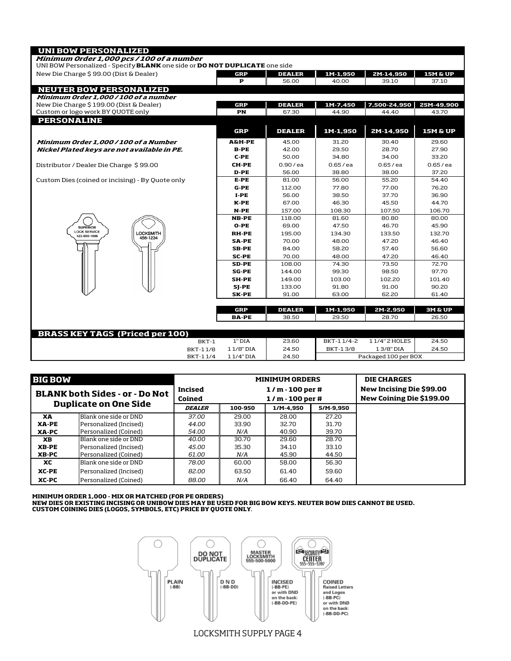| <b>UNI BOW PERSONALIZED</b>                                                              |                   |               |             |                      |                     |
|------------------------------------------------------------------------------------------|-------------------|---------------|-------------|----------------------|---------------------|
| Minimum Order 1,000 pcs / 100 of a number                                                |                   |               |             |                      |                     |
| UNI BOW Personalized - Specify <b>BLANK</b> one side or <b>DO NOT DUPLICATE</b> one side |                   |               |             |                      |                     |
| New Die Charge \$99.00 (Dist & Dealer)                                                   | GRP               | <b>DEALER</b> | 1M-1,950    | 2M-14,950            | <b>15M &amp; UP</b> |
|                                                                                          | P                 | 56.00         | 40.00       | 39.10                | 37.10               |
| <b>NEUTER BOW PERSONALIZED</b>                                                           |                   |               |             |                      |                     |
| Minimum Order 1.000 / 100 of a number                                                    |                   |               |             |                      |                     |
| New Die Charge \$199.00 (Dist & Dealer)                                                  | GRP               | <b>DEALER</b> | 1M-7.450    | 7,500-24,950         | 25M-49.900          |
| Custom or logo work BY QUOTE only                                                        | PN                | 67.30         | 44.90       | 44.40                | 43.70               |
| <b>PERSONALINE</b>                                                                       |                   |               |             |                      |                     |
|                                                                                          | <b>GRP</b>        | <b>DEALER</b> | 1M-1,950    | 2M-14,950            | <b>15M &amp; UP</b> |
| Minimum Order 1,000 / 100 of a Number                                                    | <b>A&amp;H-PE</b> | 45.00         | 31.20       | 30.40                | 29.60               |
| Nickel Plated keys are not available in PE.                                              | $B-PE$            | 42.00         | 29.50       | 28.70                | 27.90               |
|                                                                                          | $C-PE$            | 50.00         | 34.80       | 34.00                | 33.20               |
| Distributor / Dealer Die Charge \$99.00                                                  | <b>CH-PE</b>      | 0.90 / ea     | $0.65$ / ea | $0.65$ / ea          | $0.65$ / ea         |
|                                                                                          | D-PE              | 56.00         | 38.80       | 38.00                | 37.20               |
| Custom Dies (coined or incising) - By Quote only                                         | $E-PE$            | 81.00         | 56.00       | 55.20                | 54.40               |
|                                                                                          | G-PE              | 112.00        | 77.80       | 77.00                | 76.20               |
|                                                                                          | $I-PE$            | 56.00         | 38.50       | 37.70                | 36.90               |
|                                                                                          | $K-PE$            | 67.00         | 46.30       | 45.50                | 44.70               |
|                                                                                          | N-PE              | 157.00        | 108.30      | 107.50               | 106.70              |
|                                                                                          | <b>NB-PE</b>      | 118.00        | 81.60       | 80.80                | 80.00               |
| <b>SUPERIOR</b>                                                                          | $O-PE$            | 69.00         | 47.50       | 46.70                | 45.90               |
| <b>LOCK SERVICE</b><br><b>LOCKSMITH</b><br>123-555-1996<br>456-1234                      | <b>RH-PE</b>      | 195.00        | 134.30      | 133.50               | 132.70              |
|                                                                                          | <b>SA-PE</b>      | 70.00         | 48.00       | 47.20                | 46.40               |
|                                                                                          | <b>SB-PE</b>      | 84.00         | 58.20       | 57.40                | 56.60               |
|                                                                                          | <b>SC-PE</b>      | 70.00         | 48.00       | 47.20                | 46.40               |
|                                                                                          | <b>SD-PE</b>      | 108.00        | 74.30       | 73.50                | 72.70               |
|                                                                                          | <b>SG-PE</b>      | 144.00        | 99.30       | 98.50                | 97.70               |
|                                                                                          | <b>SH-PE</b>      | 149.00        | 103.00      | 102.20               | 101.40              |
|                                                                                          | SJ-PE             | 133.00        | 91.80       | 91.00                | 90.20               |
|                                                                                          | <b>SK-PE</b>      | 91.00         | 63.00       | 62.20                | 61.40               |
|                                                                                          | <b>GRP</b>        | <b>DEALER</b> | 1M-1,950    | 2M-2,950             | 3M & UP             |
|                                                                                          | <b>BA-PE</b>      | 38.50         | 29.50       | 28.70                | 26.50               |
|                                                                                          |                   |               |             |                      |                     |
| <b>BRASS KEY TAGS (Priced per 100)</b>                                                   |                   |               |             |                      |                     |
| BKT-1                                                                                    | 1" DIA            | 23.60         | BKT-11/4-2  | 11/4" 2 HOLES        | 24.50               |
| BKT-11/8                                                                                 | 11/8" DIA         | 24.50         | BKT-13/8    | 13/8" DIA            | 24.50               |
| BKT-11/4                                                                                 | 11/4" DIA         | 24.50         |             | Packaged 100 per BOX |                     |

| <b>BIG BOW</b>                        |                              |               |         | <b>MINIMUM ORDERS</b>    | <b>DIE CHARGES</b> |                                 |
|---------------------------------------|------------------------------|---------------|---------|--------------------------|--------------------|---------------------------------|
| <b>BLANK both Sides - or - Do Not</b> |                              | Incised       |         | New Incising Die \$99.00 |                    |                                 |
|                                       | <b>Duplicate on One Side</b> | Coined        |         | $1/m - 100$ per #        |                    | <b>New Coining Die \$199.00</b> |
|                                       |                              | <b>DEALER</b> | 100-950 | 1/M-4.950                | 5/M-9.950          |                                 |
| XA                                    | Blank one side or DND        | 37.00         | 29.00   | 28.00                    | 27.20              |                                 |
| <b>XA-PE</b>                          | Personalized (Incised)       | 44.00         | 33.90   | 32.70                    | 31.70              |                                 |
| XA-PC                                 | Personalized (Coined)        | 54.00         | N/A     | 40.90                    | 39.70              |                                 |
| <b>XB</b>                             | Blank one side or DND        | 40.00         | 30.70   | 29.60                    | 28.70              |                                 |
| <b>XB-PE</b>                          | Personalized (Incised)       | 45.00         | 35.30   | 34.10                    | 33.10              |                                 |
| XB-PC                                 | Personalized (Coined)        | 61.00         | N/A     | 45.90                    | 44.50              |                                 |
| хc                                    | Blank one side or DND        | 78.00         | 60.00   | 58.00                    | 56.30              |                                 |
| XC-PE                                 | Personalized (Incised)       | 82.00         | 63.50   | 61.40                    | 59.60              |                                 |
| XC-PC                                 | Personalized (Coined)        | 88.00         | N/A     | 66.40                    | 64.40              |                                 |

MINIMUM ORDER 1,000 - MIX OR MATCHED (FOR PE ORDERS)<br>NEW DIES OR EXISTING INCISING OR UNIBOW DIES MAY BE USED FOR BIG BOW KEYS. NEUTER BOW DIES CANNOT BE USED.<br>CUSTOM COINING DIES (LOGOS, SYMBOLS, ETC) PRICE BY QUOTE ONLY.



LOCKSMITH SUPPLY PAGE 4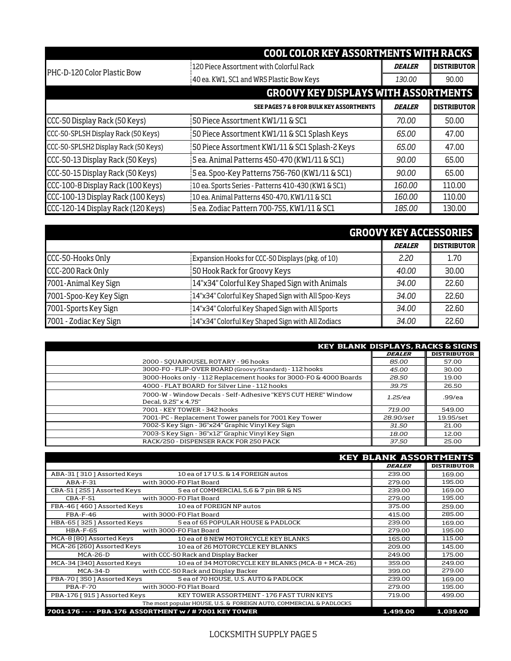|                                      | <b>COOL COLOR KEY ASSORTMENTS WITH RACKS</b>        |               |                    |
|--------------------------------------|-----------------------------------------------------|---------------|--------------------|
| PHC-D-120 Color Plastic Bow          | 120 Piece Assortment with Colorful Rack             | <b>DEALER</b> | <b>DISTRIBUTOR</b> |
|                                      | 40 ea. KW1, SC1 and WR5 Plastic Bow Keys            | 130.00        | 90.00              |
|                                      | <b>GROOVY KEY DISPLAYS WITH ASSORTMENTS</b>         |               |                    |
|                                      | <b>SEE PAGES 7 &amp; 8 FOR BULK KEY ASSORTMENTS</b> | <b>DEALER</b> | <b>DISTRIBUTOR</b> |
| CCC-50 Display Rack (50 Keys)        | 50 Piece Assortment KW1/11 & SC1                    | 70.00         | 50.00              |
| CCC-50-SPLSH Display Rack (50 Keys)  | 50 Piece Assortment KW1/11 & SC1 Splash Keys        | 65.00         | 47.00              |
| CCC-50-SPLSH2 Display Rack (50 Keys) | 50 Piece Assortment KW1/11 & SC1 Splash-2 Keys      | 65.00         | 47.00              |
| CCC-50-13 Display Rack (50 Keys)     | 5 ea. Animal Patterns 450-470 (KW1/11 & SC1)        | 90.00         | 65.00              |
| CCC-50-15 Display Rack (50 Keys)     | 5 ea. Spoo-Key Patterns 756-760 (KW1/11 & SC1)      | 90.00         | 65,00              |
| CCC-100-8 Display Rack (100 Keys)    | 10 ea. Sports Series - Patterns 410-430 (KW1 & SC1) | 160.00        | 110.00             |
| CCC-100-13 Display Rack (100 Keys)   | 10 ea. Animal Patterns 450-470, KW1/11 & SC1        | 160,00        | 110.00             |
| CCC-120-14 Display Rack (120 Keys)   | 5 ea. Zodiac Pattern 700-755, KW1/11 & SC1          | 185.00        | 130.00             |

|                        |                                                     | <b>GROOVY KEY ACCESSORIES</b> |                    |
|------------------------|-----------------------------------------------------|-------------------------------|--------------------|
|                        |                                                     | <b>DEALER</b>                 | <b>DISTRIBUTOR</b> |
| CCC-50-Hooks Only      | Expansion Hooks for CCC-50 Displays (pkg. of 10)    | 2.20                          | 1.70               |
| CCC-200 Rack Only      | 50 Hook Rack for Groovy Keys                        | 40.00                         | 30.00              |
| 7001-Animal Key Sign   | 14"x34" Colorful Key Shaped Sign with Animals       | 34.00                         | 22.60              |
| 7001-Spoo-Key Key Sign | 14"x34" Colorful Key Shaped Sign with All Spoo-Keys | 34.00                         | 22.60              |
| 7001-Sports Key Sign   | 14"x34" Colorful Key Shaped Sign with All Sports    | 34.00                         | 22.60              |
| 7001 - Zodiac Key Sign | 14"x34" Colorful Key Shaped Sign with All Zodiacs   | 34.00                         | 22.60              |

| <b>KEY BLANK DISPLAYS, RACKS &amp; SIGNS</b>                                          |               |                    |
|---------------------------------------------------------------------------------------|---------------|--------------------|
|                                                                                       | <b>DEALER</b> | <b>DISTRIBUTOR</b> |
| 2000 - SQUAROUSEL ROTARY - 96 hooks                                                   | 85.00         | 57.00              |
| 3000-FO - FLIP-OVER BOARD (Groovy/Standard) - 112 hooks                               | 45.00         | 30.00              |
| 3000-Hooks only - 112 Replacement hooks for 3000-F0 & 4000 Boards                     | 28.50         | 19.00              |
| 4000 - FLAT BOARD for Silver Line - 112 hooks                                         | 39.75         | 26.50              |
| 7000-W - Window Decals - Self-Adhesive "KEYS CUT HERE" Window<br>Decal, 9.25" x 4.75" | 1.25/ea       | $.99$ /ea          |
| 7001 - KEY TOWER - 342 hooks                                                          | 719.00        | 549.00             |
| 7001-PC - Replacement Tower panels for 7001 Key Tower                                 | 28.90/set     | 19.95/set          |
| 7002-S Key Sign - 36"x24" Graphic Vinyl Key Sign                                      | 31.50         | 21.00              |
| 7003-S Key Sign - 36"x12" Graphic Vinyl Key Sign                                      | 18.00         | 12.00              |
| RACK/250 - DISPENSER RACK FOR 250 PACK                                                | 37.50         | 25.00              |

| <b>KEY BLANK ASSORTMENTS</b>                                   |                                                                       |               |                    |  |  |  |  |  |
|----------------------------------------------------------------|-----------------------------------------------------------------------|---------------|--------------------|--|--|--|--|--|
|                                                                |                                                                       | <b>DEALER</b> | <b>DISTRIBUTOR</b> |  |  |  |  |  |
| ABA-31 [310] Assorted Keys                                     | 10 ea of 17 U.S. & 14 FOREIGN autos                                   | 239.00        | 169.00             |  |  |  |  |  |
| ABA-F-31<br>with 3000-F0 Flat Board                            |                                                                       | 279.00        | 195.00             |  |  |  |  |  |
| CBA-51 [255] Assorted Keys                                     | 5 ea of COMMERCIAL 5,6 & 7 pin BR & NS                                | 239.00        | 169.00             |  |  |  |  |  |
| $CBA-F-51$                                                     | with 3000-FO Flat Board                                               | 279.00        | 195.00             |  |  |  |  |  |
| FBA-46 [460] Assorted Keys 10 ea of FOREIGN NP autos           |                                                                       | 375.00        | 259.00             |  |  |  |  |  |
| with 3000-F0 Flat Board<br>$FBA-F-46$                          |                                                                       | 415.00        | 285.00             |  |  |  |  |  |
| HBA-65 [325 ] Assorted Keys 5 ea of 65 POPULAR HOUSE & PADLOCK |                                                                       | 239.00        | 169.00             |  |  |  |  |  |
| <b>HBA-F-65</b><br>with 3000-F0 Flat Board                     |                                                                       | 279.00        | 195.00             |  |  |  |  |  |
|                                                                | MCA-8 [80] Assorted Keys 10 ea of 8 NEW MOTORCYCLE KEY BLANKS         | 165.00        | 115.00             |  |  |  |  |  |
| MCA-26 [260] Assorted Keys 10 ea of 26 MOTORCYCLE KEY BLANKS   |                                                                       | 209.00        | 145.00             |  |  |  |  |  |
| MCA-26-D                                                       | with CCC-50 Rack and Display Backer                                   | 249.00        | 175.00             |  |  |  |  |  |
| MCA-34 [340] Assorted Keys                                     | 10 ea of 34 MOTORCYCLE KEY BLANKS (MCA-8 + MCA-26)                    | 359.00        | 249.00             |  |  |  |  |  |
| MCA-34-D with CCC-50 Rack and Display Backer                   |                                                                       | 399.00        | 279.00             |  |  |  |  |  |
| PBA-70 [ 350 ] Assorted Keys                                   | 5 ea of 70 HOUSE, U.S. AUTO & PADLOCK                                 | 239.00        | 169.00             |  |  |  |  |  |
| PBA-F-70<br>with 3000-FO Flat Board                            |                                                                       | 279.00        | 195.00             |  |  |  |  |  |
|                                                                | PBA-176 [915] Assorted Keys KEY TOWER ASSORTMENT - 176 FAST TURN KEYS | 719.00        | 499.00             |  |  |  |  |  |
|                                                                | The most popular HOUSE, U.S. & FOREIGN AUTO, COMMERCIAL & PADLOCKS    |               |                    |  |  |  |  |  |
| 7001-176 - - - - PBA-176 ASSORTMENT w / # 7001 KEY TOWER       |                                                                       | 1,499.00      | 1,039.00           |  |  |  |  |  |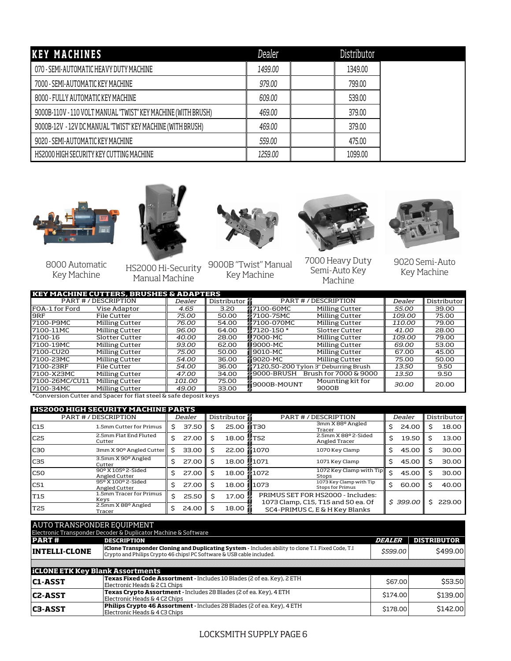| <b>KEY MACHINES</b>                                           | Dealer  | Distributor |  |
|---------------------------------------------------------------|---------|-------------|--|
| 070 - SEMI-AUTOMATIC HEAVY DUTY MACHINE                       | 1499.00 | 1349.00     |  |
| 7000 - SEMI-AUTOMATIC KEY MACHINE                             | 979,00  | 799.00      |  |
| 8000 - FULLY AUTOMATIC KEY MACHINE                            | 609.00  | 539.00      |  |
| 9000B-110V - 110 VOLT MANUAL "TWIST" KEY MACHINE (WITH BRUSH) | 469.00  | 379.00      |  |
| 9000B-12V - 12V DC MANUAL "TWIST" KEY MACHINE (WITH BRUSH)    | 469.00  | 379.00      |  |
| 9020 - SEMI-AUTOMATIC KEY MACHINE                             | 559.00  | 475.00      |  |
| HS2000 HIGH SECURITY KEY CUTTING MACHINE                      | 1259.00 | 1099.00     |  |





8000 Automatic Key Machine

HS2000 Hi-Security Manual Machine



9000B "Twist" Manual Key Machine



7000 Heavy Duty Semi-Auto Key Machine



9020 Semi-Auto Key Machine

| <b>KEY MACHINE CUTTERS, BRUSHES &amp; ADAPTERS</b> |                           |        |               |                   |                                      |              |             |  |  |
|----------------------------------------------------|---------------------------|--------|---------------|-------------------|--------------------------------------|--------------|-------------|--|--|
|                                                    | <b>PART #/DESCRIPTION</b> | Dealer | Distributor # |                   | <b>PART #/DESCRIPTION</b>            |              | Distributor |  |  |
| FOA-1 for Ford                                     | Vise Adaptor              | 4.65   | 3.20          | <b>■7100-60MC</b> | Milling Cutter                       | 55.00        | 39.00       |  |  |
| 9RF                                                | File Cutter               | 75.00  | 50.00         | <b>@7100-75MC</b> | Milling Cutter                       | 109.00       | 75.00       |  |  |
| 7100-P9MC                                          | Milling Cutter            | 76.00  | 54.00         | ▓7100-070MC       | Milling Cutter                       | 110.00       | 79.00       |  |  |
| 7100-11MC                                          | Milling Cutter            | 96.00  | 64.00         | ■7120-150 *       | <b>Slotter Cutter</b>                | 41.00        | 28.00       |  |  |
| 7100-16                                            | Slotter Cutter            | 40.00  | 28.00         | U7000-MC          | Milling Cutter                       | 109.00       | 79.00       |  |  |
| 7100-19MC                                          | Milling Cutter            | 93.00  | 62.00         | <b>II</b> 9000-MC | Milling Cutter                       | 69.00        | 53.00       |  |  |
| 7100-CU20                                          | Milling Cutter            | 75.00  | 50.00         | 9010-MC           | Milling Cutter                       | 67.00        | 45.00       |  |  |
| 7100-23MC                                          | Milling Cutter            | 54.00  | 36.00         | 19020-MC          | Milling Cutter                       | 75.00        | 50.00       |  |  |
| 7100-23RF                                          | File Cutter               | 54.00  | 36.00         |                   | 7120,50-200 Tylon 3" Deburring Brush | <i>13.50</i> | 9.50        |  |  |
| 7100-X23MC                                         | Milling Cutter            | 47.00  | 34.00         | ∰9000-BRUSH       | Brush for 7000 & 9000                | <i>13.50</i> | 9.50        |  |  |
| 7100-26MC/CU11                                     | Milling Cutter            | 101.00 | 75.00         | 9000B-MOUNT       | Mounting kit for                     | 30.00        | 20.00       |  |  |
| 7100-34MC                                          | Milling Cutter            | 49.00  | 33.00         |                   | 9000B                                |              |             |  |  |
|                                                    |                           |        |               |                   |                                      |              |             |  |  |

\*Conversion Cutter and Spacer for flat steel & safe deposit keys

| <b>HS2000 HIGH SECURITY MACHINE PARTS</b> |                                     |        |       |             |            |                                                                         |  |        |          |             |        |
|-------------------------------------------|-------------------------------------|--------|-------|-------------|------------|-------------------------------------------------------------------------|--|--------|----------|-------------|--------|
|                                           | <b>PART #/DESCRIPTION</b>           | Dealer |       | Distributor |            | <b>PART #/DESCRIPTION</b>                                               |  | Dealer |          | Distributor |        |
| C <sub>15</sub>                           | 1.5mm Cutter for Primus             |        | 37.50 | S           | 25.00      | 3mm X 88º Angled<br><b>@T30</b><br>Tracer                               |  |        | 24.00    |             | 18.00  |
| C25                                       | 2.5mm Flat End Fluted<br>Cutter     | Ś      | 27.00 |             | 18.00      | 2.5mm X 88º 2-Sided<br><b>器T52</b><br>Angled Tracer                     |  | Ś.     | 19.50    | S           | 13.00  |
| C <sub>30</sub>                           | 3mm X 90° Angled Cutter             |        | 33.00 |             | 22.00      | <b>■1070</b><br>1070 Key Clamp                                          |  |        | 45.00    |             | 30.00  |
| C35                                       | 3.5mm X 90° Angled<br>Cutter        |        | 27.00 | Ś           | 18.00 2071 | 1071 Key Clamp                                                          |  |        | 45.00    |             | 30.00  |
| <b>C50</b>                                | 90° X 105° 2-Sided<br>Angled Cutter | Ś.     | 27.00 |             | 18.00      | 1072 Key Clamp with Tip<br>● 1072<br>Stops                              |  | Ś      | 45.00    |             | 30.00  |
| C51                                       | 95° X 100° 2-Sided<br>Angled Cutter | Ś.     | 27.00 | Ś           | 18.00      | 1073 Key Clamp with Tip<br>1073∎<br><b>Stops for Primus</b>             |  | Ś      | 60.00    |             | 40.00  |
| T <sub>15</sub>                           | 1.5mm Tracer for Primus<br>Keys     | \$     | 25.50 |             | 17.00      | PRIMUS SET FOR HS2000 - Includes:<br>1073 Clamp, C15, T15 and 50 ea. Of |  |        | \$399.00 |             | 229.00 |
| <b>T25</b>                                | 2.5mm X 88º Angled<br>Tracer        |        | 24.00 | Ś           | 18.00      | SC4-PRIMUS C, E & H Key Blanks                                          |  |        |          |             |        |

| AUTO TRANSPONDER EQUIPMENT              |                                                                                                                                                                             |                      |                    |  |  |  |  |  |  |  |  |
|-----------------------------------------|-----------------------------------------------------------------------------------------------------------------------------------------------------------------------------|----------------------|--------------------|--|--|--|--|--|--|--|--|
|                                         | Electronic Transponder Decoder & Duplicator Machine & Software                                                                                                              |                      |                    |  |  |  |  |  |  |  |  |
| <b>PART#</b>                            | <b>DESCRIPTION</b>                                                                                                                                                          | <i><b>DEALER</b></i> | <b>DISTRIBUTOR</b> |  |  |  |  |  |  |  |  |
| <b>INTELLI-CLONE</b>                    | iClone Transponder Cloning and Duplicating System - Includes ability to clone T.I. Fixed Code, T.I<br>Crypto and Philips Crypto 46 chips! PC Software & USB cable included. | \$599.00             | \$499.00           |  |  |  |  |  |  |  |  |
|                                         |                                                                                                                                                                             |                      |                    |  |  |  |  |  |  |  |  |
| <b>iCLONE ETK Key Blank Assortments</b> |                                                                                                                                                                             |                      |                    |  |  |  |  |  |  |  |  |
| <b>C1-ASST</b>                          | Texas Fixed Code Assortment - Includes 10 Blades (2 of ea. Key), 2 ETH<br>Electronic Heads & 2 C1 Chips                                                                     | \$67.00              | \$53.50            |  |  |  |  |  |  |  |  |
| <b>C2-ASST</b>                          | Texas Crypto Assortment - Includes 28 Blades (2 of ea. Key), 4 ETH<br>Electronic Heads & 4 C2 Chips                                                                         | \$174.00             | \$139.00           |  |  |  |  |  |  |  |  |
| <b>C3-ASST</b>                          | Philips Crypto 46 Assortment - Includes 28 Blades (2 of ea. Key), 4 ETH<br>Electronic Heads & 4 C3 Chips                                                                    | \$178.00             | \$142.00           |  |  |  |  |  |  |  |  |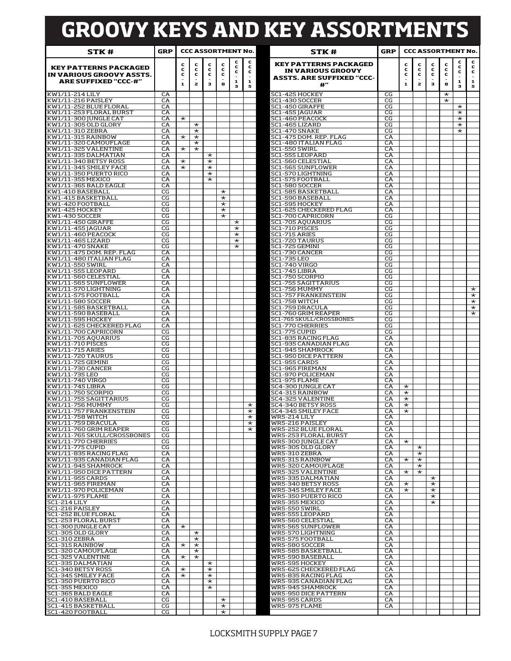# **GROOVY KEYS AND KEY ASSORTMENTS**

| STK #                                                    | <b>GRP</b> |                     | <b>CCC ASSORTMENT No.</b> |                    |                      |                    |                    | STK #                                                                                 | GRP            |                     |                    |                     | <b>CCC ASSORTMENT No.</b> |                      |                    |
|----------------------------------------------------------|------------|---------------------|---------------------------|--------------------|----------------------|--------------------|--------------------|---------------------------------------------------------------------------------------|----------------|---------------------|--------------------|---------------------|---------------------------|----------------------|--------------------|
| <b>KEY PATTERNS PACKAGED</b><br>IN VARIOUS GROOVY ASSTS. |            | c<br>c<br>c         | с<br>с<br>с               | c<br>с<br>с        | c<br>c<br>c          | c<br>с<br>с        | c<br>с<br>c        | <b>KEY PATTERNS PACKAGED</b><br>IN VARIOUS GROOVY<br><b>ASSTS. ARE SUFFIXED "CCC-</b> |                | c<br>c<br>c         | c<br>c<br>c        | c<br>c<br>c         | c<br>с<br>c               | c<br>c<br>c          | c<br>c<br>c        |
| <b>ARE SUFFIXED "CCC-#"</b>                              |            | $\mathbf{1}$        | 2                         | з                  | 8                    | 1<br>з             | 1<br>5             | $^{\rm 4+}$                                                                           |                | $\mathbf{1}$        | $\mathbf{z}$       | з                   | 8                         | 1<br>з               | 1<br>5             |
| KW1/11-214 LILY                                          | CA         |                     |                           |                    |                      |                    |                    | SC1-425 HOCKEY                                                                        | CG             |                     |                    |                     | $\star$                   |                      |                    |
| KW1/11-216 PAISLEY<br>KW1/11-252 BLUE FLORAL             | CA<br>CA   |                     |                           |                    |                      |                    |                    | SC1-430 SOCCER<br>SC1-450 GIRAFFE                                                     | CG<br>CG       |                     |                    |                     | $\star$                   |                      |                    |
| KW1/11-253 FLORAL BURST                                  | CA         |                     |                           |                    |                      |                    |                    | SC1-455 JAGUAR                                                                        | CG             |                     |                    |                     |                           | $\star$<br>$\star$   |                    |
| KW1/11-300 JUNGLE CAT                                    | CA         | $\star$             |                           |                    |                      |                    |                    | SC1-460 PEACOCK                                                                       | CG             |                     |                    |                     |                           | $^\star$             |                    |
| KW1/11-305 OLD GLORY<br>KW1/11-310 ZEBRA                 | CA<br>CA   |                     | $\star$<br>$\star$        |                    |                      |                    |                    | SC1-465 LIZARD<br><b>SC1-470 SNAKE</b>                                                | CG<br>CG       |                     |                    |                     |                           | $^\star$<br>$^\star$ |                    |
| KW1/11-315 RAINBOW                                       | CA         | $\star$             | $\star$                   |                    |                      |                    |                    | SC1-475 DOM. REP. FLAG                                                                | CA             |                     |                    |                     |                           |                      |                    |
| KW1/11-320 CAMOUFLAGE<br>KW1/11-325 VALENTINE            | CA<br>CA   | $\star$             | $\star$<br>$\star$        |                    |                      |                    |                    | SC1-480 ITALIAN FLAG<br><b>SC1-550 SWIRL</b>                                          | CA<br>CA       |                     |                    |                     |                           |                      |                    |
| KW1/11-335 DALMATIAN                                     | CA         |                     |                           | $\star$            |                      |                    |                    | SC1-555 LEOPARD                                                                       | CA             |                     |                    |                     |                           |                      |                    |
| KW1/11-340 BETSY ROSS                                    | CA         | $^\star$            |                           | $^\star$           |                      |                    |                    | SC1-560 CELESTIAL                                                                     | CA             |                     |                    |                     |                           |                      |                    |
| KW1/11-345 SMILEY FACE<br>KW1/11-350 PUERTO RICO         | CA<br>CA   | $^\star$            |                           | $\star$<br>$\star$ |                      |                    |                    | SC1-565 SUNFLOWER<br>SC1-570 LIGHTNING                                                | CA<br>СA       |                     |                    |                     |                           |                      |                    |
| KW1/11-355 MEXICO                                        | CA         |                     |                           | $\star$            |                      |                    |                    | SC1-575 FOOTBALL                                                                      | CA             |                     |                    |                     |                           |                      |                    |
| KW1/11-365 BALD EAGLE<br>KW1-410 BASEBALL                | CA<br>CG   |                     |                           |                    | $\star$              |                    |                    | SC1-580 SOCCER<br>SC1-585 BASKETBALL                                                  | CA<br>CA       |                     |                    |                     |                           |                      |                    |
| KW1-415 BASKETBALL                                       | CG         |                     |                           |                    | $^\star$             |                    |                    | SC1-590 BASEBALL                                                                      | CA             |                     |                    |                     |                           |                      |                    |
| KW1-420 FOOTBALL                                         | CG         |                     |                           |                    | $^\star$             |                    |                    | SC1-595 HOCKEY                                                                        | CA             |                     |                    |                     |                           |                      |                    |
| KW1-425 HOCKEY<br>KW1-430 SOCCER                         | CG<br>CG   |                     |                           |                    | $^\star$<br>$^\star$ |                    |                    | SC1-625 CHECKERED FLAG<br>SC1-700 CAPRICORN                                           | CA<br>CG       |                     |                    |                     |                           |                      |                    |
| KW1/11-450 GIRAFFE                                       | CG         |                     |                           |                    |                      | $\star$            |                    | SC1-705 AQUARIUS                                                                      | CG             |                     |                    |                     |                           |                      |                    |
| KW1/11-455 JAGUAR<br>KW1/11-460 PEACOCK                  | CG<br>CG   |                     |                           |                    |                      | $\star$<br>$\star$ |                    | SC1-710 PISCES<br>SC1-715 ARIES                                                       | CG<br>CG       |                     |                    |                     |                           |                      |                    |
| KW1/11-465 LIZARD                                        | CG         |                     |                           |                    |                      | $\star$            |                    | SC1-720 TAURUS                                                                        | CG             |                     |                    |                     |                           |                      |                    |
| KW1/11-470 SNAKE                                         | CG         |                     |                           |                    |                      | $\star$            |                    | SC1-725 GEMINI                                                                        | CG             |                     |                    |                     |                           |                      |                    |
| KW1/11-475 DOM. REP. FLAG<br>KW1/11-480 ITALIAN FLAG     | CA<br>CA   |                     |                           |                    |                      |                    |                    | SC1-730 CANCER<br><b>SC1-735 LEO</b>                                                  | CG<br>CG       |                     |                    |                     |                           |                      |                    |
| KW1/11-550 SWIRL                                         | CA         |                     |                           |                    |                      |                    |                    | SC1-740 VIRGO                                                                         | CG             |                     |                    |                     |                           |                      |                    |
| KW1/11-555 LEOPARD                                       | CA         |                     |                           |                    |                      |                    |                    | SC1-745 LIBRA                                                                         | CG             |                     |                    |                     |                           |                      |                    |
| KW1/11-560 CELESTIAL<br>KW1/11-565 SUNFLOWER             | CA<br>CA   |                     |                           |                    |                      |                    |                    | SC1-750 SCORPIO<br>SC1-755 SAGITTARIUS                                                | CG<br>CG       |                     |                    |                     |                           |                      |                    |
| KW1/11-570 LIGHTNING                                     | CA         |                     |                           |                    |                      |                    |                    | SC1-756 MUMMY                                                                         | CG             |                     |                    |                     |                           |                      | $^\star$           |
| KW1/11-575 FOOTBALL<br>KW1/11-580 SOCCER                 | CA<br>CA   |                     |                           |                    |                      |                    |                    | SC1-757 FRANKENSTEIN<br>SC1-758 WITCH                                                 | CG<br>CG       |                     |                    |                     |                           |                      | $\star$<br>$\star$ |
| KW1/11-585 BASKETBALL                                    | CA         |                     |                           |                    |                      |                    |                    | SC1-759 DRACULA                                                                       | CG             |                     |                    |                     |                           |                      | $\star$            |
| KW1/11-590 BASEBALL                                      | CA<br>CA   |                     |                           |                    |                      |                    |                    | SC1-760 GRIM REAPER<br>SC1-765 SKULL/CROSSBONES                                       | CG<br>CG       |                     |                    |                     |                           |                      | $\star$            |
| KW1/11-595 HOCKEY<br>KW1/11-625 CHECKERED FLAG           | CA         |                     |                           |                    |                      |                    |                    | <b>SC1-770 CHERRIES</b>                                                               | CG             |                     |                    |                     |                           |                      |                    |
| KW1/11-700 CAPRICORN                                     | CG         |                     |                           |                    |                      |                    |                    | SC1-775 CUPID                                                                         | CG             |                     |                    |                     |                           |                      |                    |
| KW1/11-705 AQUARIUS<br>KW1/11-710 PISCES                 | CG<br>CG   |                     |                           |                    |                      |                    |                    | SC1-835 RACING FLAG<br>SC1-935 CANADIAN FLAG                                          | CA<br>CA       |                     |                    |                     |                           |                      |                    |
| KW1/11-715 ARIES                                         | CG         |                     |                           |                    |                      |                    |                    | SC1-945 SHAMROCK                                                                      | CA             |                     |                    |                     |                           |                      |                    |
| KW1/11-720 TAURUS<br>KW1/11-725 GEMINI                   | CG<br>CG   |                     |                           |                    |                      |                    |                    | SC1-950 DICE PATTERN<br>SC1-955 CARDS                                                 | CA<br>CA       |                     |                    |                     |                           |                      |                    |
| KW1/11-730 CANCER                                        | CG         |                     |                           |                    |                      |                    |                    | SC1-965 FIREMAN                                                                       | CA             |                     |                    |                     |                           |                      |                    |
| KW1/11-735 LEO                                           | CG         |                     |                           |                    |                      |                    |                    | SC1-970 POLICEMAN                                                                     | CA             |                     |                    |                     |                           |                      |                    |
| KW1/11-740 VIRGO<br>KW1/11-745 LIBRA                     | CG<br>CG   |                     |                           |                    |                      |                    |                    | SC1-975 FLAME<br>SC4-300 JUNGLE CAT                                                   | CA<br>CA       | $^\star$            |                    |                     |                           |                      |                    |
| KW1/11-750 SCORPIO                                       | CG         |                     |                           |                    |                      |                    |                    | SC4-315 RAINBOW                                                                       | CA             | $^\star$            |                    |                     |                           |                      |                    |
| KW1/11-755 SAGITTARIUS<br>KW1/11-756 MUMMY               | CG<br>CG   |                     |                           |                    |                      |                    | $^\star$           | SC4-325 VALENTINE<br>SC4-340 BETSY ROSS                                               | СA<br>CA       | $^\star$<br>$\star$ |                    |                     |                           |                      |                    |
| KW1/11-757 FRANKENSTEIN                                  | CG         |                     |                           |                    |                      |                    | $\star$            | SC4-345 SMILEY FACE                                                                   | CA             | $^\star$            |                    |                     |                           |                      |                    |
| KW1/11-758 WITCH                                         | CG         |                     |                           |                    |                      |                    | $\star$            | <b>WR5-214 LILY</b>                                                                   | C <sub>A</sub> |                     |                    |                     |                           |                      |                    |
| KW1/11-759 DRACULA<br>KW1/11-760 GRIM REAPER             | CG<br>CG   |                     |                           |                    |                      |                    | $\star$<br>$\star$ | WR5-216 PAISLEY<br>WR5-252 BLUE FLORAL                                                | CA<br>CA       |                     |                    |                     |                           |                      |                    |
| KW1/11-765 SKULL/CROSSBONES                              | CG         |                     |                           |                    |                      |                    |                    | WR5-253 FLORAL BURST                                                                  | CA             |                     |                    |                     |                           |                      |                    |
| KW1/11-770 CHERRIES<br>KW1/11-775 CUPID                  | CG<br>CG   |                     |                           |                    |                      |                    |                    | WR5-300 JUNGLE CAT<br>WR5-305 OLD GLORY                                               | СA<br>CA       | $\star$             | $^\star$           |                     |                           |                      |                    |
| KW1/11-835 RACING FLAG                                   | CA         |                     |                           |                    |                      |                    |                    | WR5-310 ZEBRA                                                                         | CA             |                     | $\star$            |                     |                           |                      |                    |
| KW1/11-935 CANADIAN FLAG<br>KW1/11-945 SHAMROCK          | CA<br>CA   |                     |                           |                    |                      |                    |                    | WR5-315 RAINBOW<br>WR5-320 CAMOUFLAGE                                                 | CA<br>CA       | $^\star$            | $\star$<br>$\star$ |                     |                           |                      |                    |
| KW1/11-950 DICE PATTERN                                  | CA         |                     |                           |                    |                      |                    |                    | WR5-325 VALENTINE                                                                     | CA             | $^\star$            | $\star$            |                     |                           |                      |                    |
| KW1/11-955 CARDS                                         | CA         |                     |                           |                    |                      |                    |                    | WR5-335 DALMATIAN                                                                     | CA             |                     |                    | $\star$             |                           |                      |                    |
| KW1/11-965 FIREMAN<br>KW1/11-970 POLICEMAN               | CA<br>CA   |                     |                           |                    |                      |                    |                    | WR5-340 BETSY ROSS<br>WR5-345 SMILEY FACE                                             | СA<br>CA       | $\star$<br>$\star$  |                    | $^\star$<br>$\star$ |                           |                      |                    |
| KW1/11-975 FLAME                                         | CA         |                     |                           |                    |                      |                    |                    | WR5-350 PUERTO RICO                                                                   | CA             |                     |                    | $\star$             |                           |                      |                    |
| SC1-214 LILY                                             | CA<br>CA   |                     |                           |                    |                      |                    |                    | WR5-355 MEXICO                                                                        | CA             |                     |                    | $^\star$            |                           |                      |                    |
| SC1-216 PAISLEY<br>SC1-252 BLUE FLORAL                   | CA         |                     |                           |                    |                      |                    |                    | WR5-550 SWIRL<br>WR5-555 LEOPARD                                                      | CA<br>CA       |                     |                    |                     |                           |                      |                    |
| SC1-253 FLORAL BURST                                     | CA         |                     |                           |                    |                      |                    |                    | WR5-560 CELESTIAL                                                                     | CA             |                     |                    |                     |                           |                      |                    |
| SC1-300 JUNGLE CAT<br>SC1-305 OLD GLORY                  | CA<br>CA   | $\star$             | $\star$                   |                    |                      |                    |                    | WR5-565 SUNFLOWER<br>WR5-570 LIGHTNING                                                | CA<br>CA       |                     |                    |                     |                           |                      |                    |
| SC1-310 ZEBRA                                            | CA         |                     | $\star$                   |                    |                      |                    |                    | WR5-575 FOOTBALL                                                                      | CA             |                     |                    |                     |                           |                      |                    |
| SC1-315 RAINBOW<br>SC1-320 CAMOUFLAGE                    | CA<br>CA   | $^\star$            | $\star$<br>$\star$        |                    |                      |                    |                    | WR5-580 SOCCER<br>WR5-585 BASKETBALL                                                  | CA<br>CA       |                     |                    |                     |                           |                      |                    |
| SC1-325 VALENTINE                                        | CA         | $\star$             | $\star$                   |                    |                      |                    |                    | WR5-590 BASEBALL                                                                      | CA             |                     |                    |                     |                           |                      |                    |
| SC1-335 DALMATIAN                                        | CA         |                     |                           | $\star$            |                      |                    |                    | WR5-595 HOCKEY                                                                        | CA             |                     |                    |                     |                           |                      |                    |
| SC1-340 BETSY ROSS<br>SC1-345 SMILEY FACE                | CA<br>CA   | $\star$<br>$^\star$ |                           | $\star$<br>$\star$ |                      |                    |                    | WR5-625 CHECKERED FLAG<br>WR5-835 RACING FLAG                                         | CA<br>CA       |                     |                    |                     |                           |                      |                    |
| SC1-350 PUERTO RICO                                      | CA         |                     |                           | $\star$            |                      |                    |                    | WR5-935 CANADIAN FLAG                                                                 | СA             |                     |                    |                     |                           |                      |                    |
| SC1-355 MEXICO<br>SC1-365 BALD EAGLE                     | CA<br>CA   |                     |                           | $\star$            |                      |                    |                    | WR5-945 SHAMROCK<br>WR5-950 DICE PATTERN                                              | CA<br>CA       |                     |                    |                     |                           |                      |                    |
| SC1-410 BASEBALL                                         | CG         |                     |                           |                    | $\star$              |                    |                    | WR5-955 CARDS                                                                         | CA             |                     |                    |                     |                           |                      |                    |
| SC1-415 BASKETBALL                                       | CG         |                     |                           |                    | $\star$              |                    |                    | WR5-975 FLAME                                                                         | CA             |                     |                    |                     |                           |                      |                    |
| SC1-420 FOOTBALL                                         | CG         |                     |                           |                    | $\star$              |                    |                    |                                                                                       |                |                     |                    |                     |                           |                      |                    |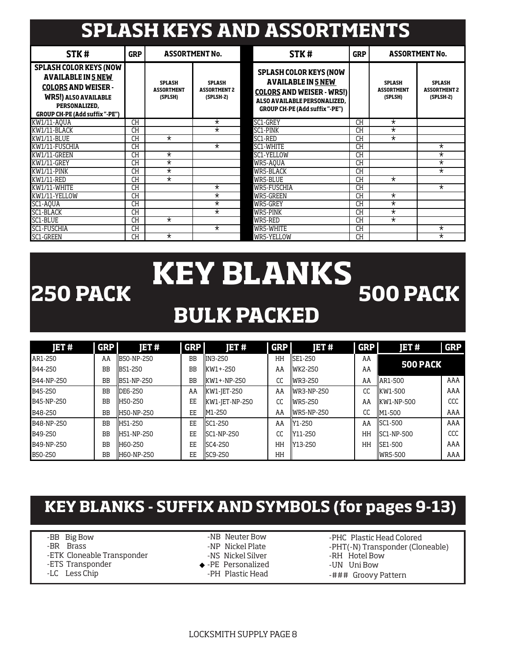# **SPLASH KEYS AND ASSORTMENTS**

| STK#                                                                                                                                                                       | <b>GRP</b> |                                               | <b>ASSORTMENT No.</b>                               | STK#                                                                                                                                                             | <b>GRP</b> |                                               | <b>ASSORTMENT No.</b>                               |
|----------------------------------------------------------------------------------------------------------------------------------------------------------------------------|------------|-----------------------------------------------|-----------------------------------------------------|------------------------------------------------------------------------------------------------------------------------------------------------------------------|------------|-----------------------------------------------|-----------------------------------------------------|
| <b>SPLASH COLOR KEYS (NOW</b><br><b>AVAILABLE IN 5 NEW</b><br><b>COLORS AND WEISER -</b><br><b>WR5!) ALSO AVAILABLE</b><br>PERSONALIZED.<br>GROUP CH-PE (Add suffix "-PE") |            | <b>SPLASH</b><br><b>ASSORTMENT</b><br>(SPLSH) | <b>SPLASH</b><br><b>ASSORTMENT 2</b><br>$(SPLSH-2)$ | <b>SPLASH COLOR KEYS (NOW</b><br><b>AVAILABLE IN 5 NEW</b><br><b>COLORS AND WEISER - WR5!)</b><br>ALSO AVAILABLE PERSONALIZED.<br>GROUP CH-PE (Add suffix "-PE") |            | <b>SPLASH</b><br><b>ASSORTMENT</b><br>(SPLSH) | <b>SPLASH</b><br><b>ASSORTMENT 2</b><br>$(SPLSH-2)$ |
| KW1/11-A0UA                                                                                                                                                                | <b>CH</b>  |                                               | $\star$                                             | SC1-GREY                                                                                                                                                         | <b>CH</b>  | $\star$                                       |                                                     |
| KW1/11-BLACK                                                                                                                                                               | CH         |                                               | $^\star$                                            | SC1-PINK                                                                                                                                                         | <b>CH</b>  | $\star$                                       |                                                     |
| KW1/11-BLUE                                                                                                                                                                | СH         | $\star$                                       |                                                     | SC1-RED                                                                                                                                                          | <b>CH</b>  | $\star$                                       |                                                     |
| KW1/11-FUSCHIA                                                                                                                                                             | <b>CH</b>  |                                               | $\star$                                             | SC1-WHITE                                                                                                                                                        | <b>CH</b>  |                                               | $^\star$                                            |
| KW1/11-GREEN                                                                                                                                                               | <b>CH</b>  | $^\star$                                      |                                                     | SC1-YELLOW                                                                                                                                                       | CH         |                                               | $^\star$                                            |
| KW1/11-GREY                                                                                                                                                                | <b>CH</b>  | $^\star$                                      |                                                     | WR5-AQUA                                                                                                                                                         | <b>CH</b>  |                                               | $^\star$                                            |
| KW1/11-PINK                                                                                                                                                                | <b>CH</b>  | $^\star$                                      |                                                     | WR5-BLACK                                                                                                                                                        | <b>CH</b>  |                                               | $^\star$                                            |
| KW1/11-RED                                                                                                                                                                 | CН         | $\star$                                       |                                                     | WR5-BLUE                                                                                                                                                         | <b>CH</b>  | $\star$                                       |                                                     |
| KW1/11-WHITE                                                                                                                                                               | СH         |                                               | $^\star$                                            | WR5-FUSCHIA                                                                                                                                                      | CH         |                                               | $\star$                                             |
| KW1/11-YELLOW                                                                                                                                                              | CН         |                                               | $^\star$                                            | WR5-GREEN                                                                                                                                                        | CH         | $\star$                                       |                                                     |
| SC1-AOUA                                                                                                                                                                   | <b>CH</b>  |                                               | $^\star$                                            | WR5-GREY                                                                                                                                                         | <b>CH</b>  | $^\star$                                      |                                                     |
| SC1-BLACK                                                                                                                                                                  | CH         |                                               | $^\star$                                            | WR5-PINK                                                                                                                                                         | <b>CH</b>  | $\star$                                       |                                                     |
| SC1-BLUE                                                                                                                                                                   | <b>CH</b>  | $^\star$                                      |                                                     | WR5-RED                                                                                                                                                          | <b>CH</b>  | $^\star$                                      |                                                     |
| <b>SC1-FUSCHIA</b>                                                                                                                                                         | CH         |                                               | $\star$                                             | WR5-WHITE                                                                                                                                                        | CH         |                                               | $^\star$                                            |
| $\star$<br>SC1-GREEN<br>CH                                                                                                                                                 |            |                                               | WR5-YELLOW                                          | <b>CH</b>                                                                                                                                                        |            | $\star$                                       |                                                     |

## **KEY BLANKS BULK PACKED 250 PACK**  $\overline{ }$  $\overline{ }$  $\overline{ }$  $\overline{ }$  $\overline{ }$  $\overline{ }$  $\overline{ }$  $\overline{ }$  $\overline{ }$  $\overline{ }$  $\overline{ }$  $\overline{ }$  $\overline{ }$  $\overline{ }$  $\overline{ }$  $\overline{ }$  $\overline{ }$  $\overline{ }$  $\overline{ }$  $\overline{ }$  $\overline{ }$  $\overline{ }$  $\overline{ }$  $\overline{ }$  $\overline{ }$  $\overline{ }$  **\overline**

| IET#           | <b>GRP</b> | <b>JET#</b> | <b>GRP</b> | <b>JET#</b>    | <b>GRP</b> | JET#           | <b>GRP</b> | JET #           | <b>GRP</b> |
|----------------|------------|-------------|------------|----------------|------------|----------------|------------|-----------------|------------|
| AR1-250        | AA         | B50-NP-250  | <b>BB</b>  | <b>IN3-250</b> | HH         | <b>SE1-250</b> | AA         | <b>500 PACK</b> |            |
| B44-250        | BB         | B51-250     | <b>BB</b>  | KW1+-250       | AA         | WK2-250        | AA         |                 |            |
| B44-NP-250     | <b>BB</b>  | B51-NP-250  | ΒB         | $KW1+NP-250$   | CC         | WR3-250        | AA         | AR1-500         | AAA        |
| B45-250        | <b>BB</b>  | DE6-250     | AA         | KW1-JET-250    | AA         | $WR3-NP-250$   | CC         | KW1-500         | AAA        |
| B45-NP-250     | BB         | H50-250     | EE         | KW1-JET-NP-250 | CC         | WR5-250        | AA         | KW1-NP-500      | CCC        |
| B48-250        | <b>BB</b>  | H50-NP-250  | EE         | M1-250         | AA         | WR5-NP-250     | CC         | M1-500          | AAA        |
| B48-NP-250     | <b>BB</b>  | H51-250     | EE         | SC1-250        | AA         | Y1-250         | AA         | SC1-500         | AAA        |
| B49-250        | <b>BB</b>  | H51-NP-250  | EE         | SC1-NP-250     | CC         | Y11-250        | HH         | SC1-NP-500      | CCC        |
| B49-NP-250     | <b>BB</b>  | H60-250     | EE         | SC4-250        | HH         | Y13-250        | HH         | SE1-500         | AAA        |
| <b>B50-250</b> | <b>BB</b>  | H60-NP-250  | EE         | SC9-250        | HH         |                |            | <b>WR5-500</b>  | AAA        |

## **KEY BLANKS - SUFFIX AND SYMBOLS (for pages 9-13)**

- -BB Big Bow
- -BR Brass
- -ETK Cloneable Transponder
- -ETS Transponder
- -LC Less Chip
- -NB Neuter Bow
- -NP Nickel Plate
- -NS Nickel Silver
- -PE Personalized
- -PH Plastic Head
- -PHC Plastic Head Colored
- -PHT(-N) Transponder (Cloneable)
- -RH Hotel Bow -UN Uni Bow
- -### Groovy Pattern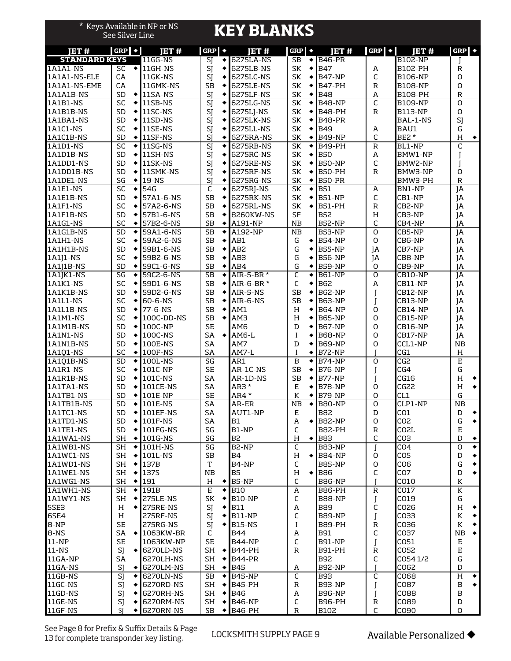| *                      | See Silver Line              | Keys Available in NP or NS        |                                  | <b>KEY BLANKS</b>              |                             |                                |                     |                                    |                         |
|------------------------|------------------------------|-----------------------------------|----------------------------------|--------------------------------|-----------------------------|--------------------------------|---------------------|------------------------------------|-------------------------|
| <b>JET#</b>            | $GRP$ $\bullet$              | <b>JET#</b>                       | $GRP \rightarrow$                | <b>IET#</b>                    | $GRP \rightarrow$           | IET#                           | $GRP$ $\rightarrow$ | <b>JET#</b>                        | $GRP$ $\rightarrow$     |
| <b>STANDARD KEYS</b>   |                              | 11GG-NS                           | $\overline{\text{SI}}$           | 6275LA-NS                      | <b>SB</b><br>٠              | <b>B46-PR</b>                  |                     | <b>B102-NP</b>                     |                         |
| <b>1A1A1-NS</b>        | SC                           | $\sqrt{111}$ GH-NS                | SJ                               | 6275LB-NS                      | SK<br>٠                     | <b>B47</b>                     | А                   | B102-PH                            | $\mathbb R$             |
| 1A1A1-NS-ELE           | CA                           | 11GK-NS                           | SJ                               | 6275LC-NS                      | SK<br>٠                     | <b>B47-NP</b>                  | C                   | <b>B106-NP</b>                     | 0                       |
| 1A1A1-NS-EME           | CA                           | 11GMK-NS                          | <b>SB</b>                        | 6275LE-NS                      | SK<br>٠                     | <b>B47-PH</b>                  | R                   | <b>B108-NP</b>                     | $\circ$<br>$\mathbb{R}$ |
| 1A1A1B-NS<br>1A1B1-NS  | SD<br>SC<br>$\ddot{\bullet}$ | $\big\{\big\}$ 11SA-NS<br>11SB-NS | SJ<br>٠<br>SJ                    | 6275LF-NS<br>6275LG-NS         | SK<br>٠<br>SK<br>٠          | <b>B48</b><br><b>B48-NP</b>    | А<br>C              | <b>B108-PH</b><br><b>B109-NP</b>   | $\circ$                 |
| 1A1B1B-NS              | <b>SD</b><br>۰               | 11SC-NS                           | SJ<br>٠                          | 6275LJ-NS                      | SK<br>٠                     | <b>B48-PH</b>                  | $\mathbb{R}$        | <b>B113-NP</b>                     | $\circ$                 |
| 1A1BA1-NS              | SD<br>٠                      | 11SD-NS                           | SJ                               | 6275LK-NS                      | SK<br>٠                     | B48-PR                         |                     | BAL-1-NS                           | SJ                      |
| 1A1C1-NS               | SC<br>٠                      | 11SE-NS                           | SJ                               | 6275LL-NS                      | SK<br>٠                     | <b>B49</b>                     | A                   | BAU1                               | G                       |
| 1A1C1B-NS              | SD<br>٠                      | 11SF-NS                           | SJ<br>٠                          | 6275RA-NS                      | SK<br>٠                     | <b>B49-NP</b>                  | C                   | BE2*                               | H<br>$\blacklozenge$    |
| 1A1D1-NS               | $\overline{SC}$<br>$\bullet$ | 11SG-NS                           | $\overline{\mathsf{SI}}$         | 6275RB-NS                      | $\overline{\text{SK}}$<br>٠ | <b>B49-PH</b>                  | $\mathbb R$         | BL1-NP                             | C                       |
| 1A1D1B-NS              | SD<br>٠                      | 11SH-NS                           | SJ                               | 6275RC-NS                      | SK<br>٠                     | <b>B50</b>                     | A                   | BMW1-NP                            |                         |
| 1A1DD1-NS              | <b>SD</b><br>٠               | 11SK-NS                           | SJ                               | 6275RE-NS                      | SK                          | <b>B50-NP</b>                  | C                   | BMW2-NP                            |                         |
| 1A1DD1B-NS             | SD<br>۰                      | 11SMK-NS                          | SJ<br>٠                          | 6275RF-NS                      | SK<br>٠                     | <b>B50-PH</b>                  | $\mathbb R$         | BMW3-NP                            | O                       |
| 1A1DE1-NS              | SG<br>٠                      | 19-NS                             | SJ<br>٠                          | 6275RG-NS                      | SK<br>٠                     | <b>B50-PR</b>                  |                     | BMW3-PH                            | $\mathbb{R}$            |
| 1A1E1-NS               | SC<br>٠                      | 54G                               | C<br>٠                           | $\overline{62}$ 75RJ-NS        | SK<br>٠                     | <b>B51</b>                     | A                   | BN1-NP                             | JA                      |
| 1A1E1B-NS              | SD<br>٠                      | 57A1-6-NS                         | <b>SB</b><br>٠                   | 6275RK-NS                      | SK<br>٠                     | <b>B51-NP</b>                  | C                   | CB1-NP                             | JA                      |
| 1A1F1-NS               | SC<br>٠                      | 57A2-6-NS                         | <b>SB</b><br>٠                   | 6275RL-NS                      | SK<br>٠                     | <b>B51-PH</b>                  | $\mathbb R$         | CB2-NP                             | JA                      |
| 1A1F1B-NS              | <b>SD</b><br>٠               | 57B1-6-NS                         | <b>SB</b>                        | 8260KW-NS                      | SF<br>NB                    | <b>B52</b>                     | Н<br>C              | CB3-NP                             | JA                      |
| 1A1G1-NS<br>1A1G1B-NS  | SC<br>٠<br>SD<br>٠           | 57B2-6-NS<br>59A1-6-NS            | <b>SB</b><br>٠<br><b>SB</b><br>٠ | A191-NP<br><b>A192-NP</b>      | NB                          | <b>B52-NP</b><br><b>B53-NP</b> | $\overline{0}$      | CB4-NP<br>CB5-NP                   | JA<br>$\overline{A}$    |
| 1A1H1-NS               | <b>SC</b><br>٠               | 59A2-6-NS                         | <b>SB</b><br>٠                   | AB1                            | G<br>٠                      | <b>B54-NP</b>                  | 0                   | CB6-NP                             | JA                      |
| 1A1H1B-NS              | SD<br>٠                      | 59B1-6-NS                         | <b>SB</b><br>٠                   | AB <sub>2</sub>                | G<br>٠                      | <b>B55-NP</b>                  | JA                  | CB7-NP                             | JA                      |
| 1A1J1-NS               | SC<br>٠                      | 59B2-6-NS                         | <b>SB</b><br>٠                   | AB3                            | G<br>٠                      | <b>B56-NP</b>                  | JA                  | CB8-NP                             | JA                      |
| 1A1J1B-NS              | SD<br>۰                      | 59C1-6-NS                         | <b>SB</b><br>٠                   | AB4                            | G<br>٠                      | <b>B59-NP</b>                  | 0                   | CB9-NP                             | JA                      |
| 1A1JK1-NS              | SG<br>٠                      | 59C2-6-NS                         | <b>SB</b>                        | AIR-5-BR *                     | C<br>٠                      | <b>B61-NP</b>                  | O                   | CB10-NP                            | JA                      |
| 1A1K1-NS               | SC<br>٠                      | 59D1-6-NS                         | <b>SB</b><br>٠                   | AIR-6-BR *                     | C<br>٠                      | <b>B62</b>                     | A                   | CB11-NP                            | JA                      |
| 1A1K1B-NS              | <b>SD</b><br>٠               | 59D2-6-NS                         | <b>SB</b><br>٠                   | AIR-5-NS                       | <b>SB</b><br>٠              | <b>B62-NP</b>                  |                     | CB12-NP                            | JA                      |
| 1A1L1-NS               | <b>SC</b><br>٠               | 60-6-NS                           | <b>SB</b><br>٠                   | AIR-6-NS                       | <b>SB</b><br>٠              | <b>B63-NP</b>                  |                     | CB13-NP                            | JA                      |
| 1A1L1B-NS              | SD<br>$\bullet$              | 77-6-NS                           | SВ<br>٠                          | AM1                            | Н<br>٠                      | <b>B64-NP</b>                  | 0                   | CB14-NP                            | ΙA                      |
| 1A1M1-NS               | SC<br>٠                      | 100C-DD-NS                        | SB                               | AM3                            | Н<br>٠                      | <b>B65-NP</b>                  | $\overline{0}$      | CB15-NP                            | JA                      |
| 1A1M1B-NS              | <b>SD</b><br>۰               | 100C-NP                           | <b>SE</b>                        | AM <sub>6</sub>                | D<br>٠                      | <b>B67-NP</b>                  | 0                   | <b>CB16-NP</b>                     | JA                      |
| 1A1N1-NS               | SD<br>٠                      | 100C-NS                           | SA<br>٠                          | AM6-L                          | I                           | <b>B68-NP</b>                  | O                   | CB17-NP                            | JA                      |
| 1A1N1B-NS<br>1A101-NS  | <b>SD</b><br>٠<br>SC<br>٠    | 100E-NS<br>100F-NS                | SA<br>SA                         | AM7<br>AM7-L                   | D<br>$\bf{I}$<br>٠          | <b>B69-NP</b><br><b>B72-NP</b> | 0                   | CCL1-NP<br>CG1                     | NB<br>Н                 |
| 1A1Q1B-NS              | SD<br>۰                      | $100L$ -NS                        | SG                               | AR1                            | B<br>٠                      | <b>B74-NP</b>                  | O                   | CG2                                | E                       |
| 1A1R1-NS               | <b>SC</b><br>٠               | 101C-NP                           | <b>SE</b>                        | AR-1C-NS                       | <b>SB</b><br>٠              | <b>B76-NP</b>                  |                     | CG4                                | G                       |
| 1A1R1B-NS              | <b>SD</b><br>٠               | 101C-NS                           | SA                               | AR-1D-NS                       | <b>SB</b><br>٠              | <b>B77-NP</b>                  |                     | CG16                               | H<br>٠                  |
| 1A1TA1-NS              | SD<br>٠                      | 101CE-NS                          | SA                               | AR3*                           | E<br>٠                      | <b>B78-NP</b>                  | 0                   | CG22                               | $\bullet$<br>Н          |
| 1A1TB1-NS              | <b>SD</b>                    | $\bigstar$ 101E-NP                | <b>SE</b>                        | AR4 *                          | К<br>٠                      | <b>B79-NP</b>                  | O                   | CL1                                | G                       |
| 1A1TB1B-NS             | SD<br>$\bullet$              | 101E-NS                           | SA                               | AR-ER                          | <b>NB</b><br>٠              | <b>B80-NP</b>                  | 0                   | CLP1-NP                            | NB                      |
| 1A1TC1-NS              | SD<br>٠                      | 101EF-NS                          | SA                               | AUT1-NP                        | Е                           | <b>B82</b>                     | D                   | CO1                                | D                       |
| 1A1TD1-NS              | SD                           | $\bigstar$ 101F-NS                | SA                               | <b>B1</b>                      | A<br>٠                      | <b>B82-NP</b>                  | 0                   | CO <sub>2</sub>                    | G<br>٠                  |
| 1A1TE1-NS              | SD<br>٠                      | 101FG-NS                          | SG                               | B1-NP                          | C                           | B82-PH                         | $\mathbb R$         | CO <sub>2</sub> L                  | E                       |
| 1A1WA1-NS              | <b>SH</b><br>$\bullet$       | 101G-NS                           | SG                               | B <sub>2</sub>                 | Н<br>٠                      | <b>B83</b>                     | C                   | CO <sub>3</sub>                    | D<br>٠                  |
| 1A1WB1-NS              | <b>SH</b>                    | $\bigstar$ [101H-NS]              | SG                               | B <sub>2</sub> -NP             | C                           | <b>B83-NP</b>                  | T                   | CO <sub>4</sub>                    | O<br>٠                  |
| 1A1WC1-NS<br>1A1WD1-NS | SH<br>٠<br>٠                 | 101L-NS                           | SB<br>T                          | <b>B4</b>                      | Η<br>٠<br>C                 | <b>B84-NP</b><br><b>B85-NP</b> | 0<br>0              | CO <sub>5</sub><br>CO <sub>6</sub> | D<br>٠<br>$\bullet$     |
| 1A1WE1-NS              | SH<br>SH<br>٠                | 137B<br>137S                      | NB                               | B4-NP<br><b>B5</b>             | Η<br>٠                      | <b>B86</b>                     | C                   | CO <sub>7</sub>                    | G<br>$\bullet$<br>D     |
| 1A1WG1-NS              | <b>SH</b><br>$\bullet$       | 191                               | H                                | B5-NP                          | C                           | <b>B86-NP</b>                  |                     | CO10                               | К                       |
| 1A1WH1-NS              | <b>SH</b><br>٠               | 191B                              | E<br>٠                           | <b>B10</b>                     | А                           | <b>B86-PH</b>                  | R                   | CO17                               | $\overline{\mathbf{K}}$ |
| 1A1WY1-NS              | <b>SH</b>                    | 275LE-NS                          | SK                               | <b>B10-NP</b>                  | C                           | <b>B88-NP</b>                  |                     | CO19                               | G                       |
| 5SE3                   | H<br>٠                       | 275RE-NS                          | SJ<br>٠                          | <b>B11</b>                     | A                           | <b>B89</b>                     | C                   | CO26                               | Н<br>٠                  |
| 6SE4                   | H                            | 275RF-NS                          | SJ                               | <b>B11-NP</b>                  | C                           | <b>B89-NP</b>                  |                     | CO33                               | К<br>٠                  |
| 8-NP                   | <b>SE</b>                    | 275RG-NS                          | SJ<br>٠                          | <b>B15-NS</b>                  | $\mathbf{I}$                | <b>B89-PH</b>                  | $\mathbb R$         | CO36                               | К<br>٠                  |
| 8-NS                   | SA<br>$\bullet$              | 1063KW-BR                         | C                                | B44                            | A                           | <b>B91</b>                     | C                   | CO37                               | $\bullet$<br><b>NB</b>  |
| $11-NP$                | SE                           | 1063KW-NP                         | <b>SE</b>                        | <b>B44-NP</b>                  | C                           | <b>B91-NP</b>                  | I                   | CO51                               | Е                       |
| $11-NS$                | SJ<br>٠                      | 6270LD-NS                         | $SH \rightarrow$                 | <b>B44-PH</b>                  | $\mathsf{R}$                | <b>B91-PH</b>                  | R                   | CO52                               | E                       |
| 11GA-NP                | SA                           | 6270LH-NS                         | SH                               | <b>B44-PR</b>                  |                             | B92                            | C                   | CO54 1/2                           | G                       |
| 11GA-NS                | SJ<br>۰                      | 6270LM-NS                         | SH<br>$\bullet$                  | <b>B45</b>                     | А                           | <b>B92-NP</b>                  |                     | C062                               | D                       |
| $11$ GB-NS             | SJ<br>٠<br>٠                 | 6270LN-NS<br>6270RD-NS            | SB<br>٠<br>SH<br>٠               | <b>B45-NP</b><br><b>B45-PH</b> | C<br>$\mathsf{R}$           | <b>B93</b><br><b>B93-NP</b>    | C                   | C068<br>C087                       | Н<br>٠<br>В<br>٠        |
| 11GC-NS<br>11GD-NS     | SJ<br>SJ<br>٠                | 6270RH-NS                         | SH<br>$\bullet$                  | <b>B46</b>                     | A                           | <b>B96-NP</b>                  | I                   | C088                               | B                       |
| 11GE-NS                | SJ<br>٠                      | 6270RM-NS                         | SH<br>٠                          | <b>B46-NP</b>                  | С                           | B96-PH                         | R                   | CO89                               | D                       |
| 11GF-NS                | SJ<br>٠                      | 6270RN-NS                         | SB<br>٠                          | <b>B46-PH</b>                  | $\mathbb R$                 | B102                           | C                   | CO90                               | 0                       |
|                        |                              |                                   |                                  |                                |                             |                                |                     |                                    |                         |

See Page 8 for Prefix & Suffix Details & Page 13 for complete transponder key listing.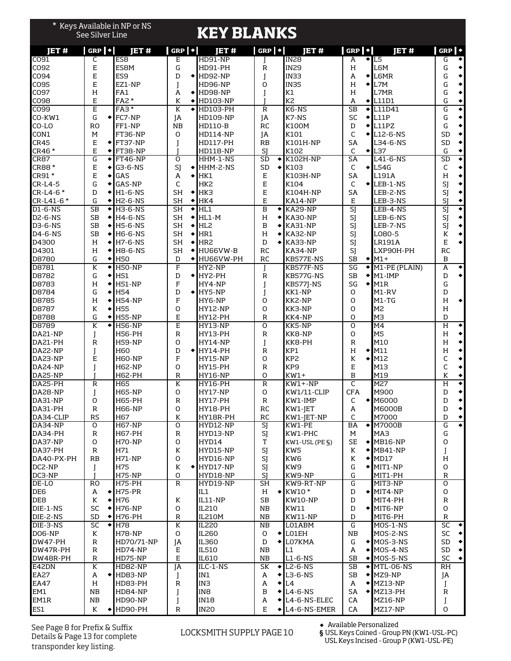|                        | <b>See Silver Line</b>              | * Keys Available in NP or NS |                                       | <b>KEY BLANKS</b>        |                           |                                               |                               |                                       |                                                 |  |  |
|------------------------|-------------------------------------|------------------------------|---------------------------------------|--------------------------|---------------------------|-----------------------------------------------|-------------------------------|---------------------------------------|-------------------------------------------------|--|--|
| IET#                   | $GRP$ $\cdot$                       | ET#                          | $GRP$ $\blacktriangleright$           | IET#                     | $GRP$ $\rightarrow$       | <b>JET#</b>                                   | $ $ GRP $  \cdot  $           | <b>JET#</b>                           | $GRP$ $\rightarrow$                             |  |  |
| CO91                   | C                                   | ES <sub>8</sub>              | E                                     | <b>HD91-NP</b>           |                           | <b>IN28</b>                                   | A                             | $\overline{+}$ L5                     | G<br>٠                                          |  |  |
| CO92                   | E                                   | ES <sub>8</sub> M            | G                                     | HD91-PH                  | R                         | <b>IN29</b>                                   | Н                             | L6M                                   | G<br>٠                                          |  |  |
| C094                   | E                                   | ES <sub>9</sub>              | D                                     | $\bigstar$ HD92-NP       | J                         | IN33                                          | A<br>$\bullet$                | L6MR                                  | G<br>٠                                          |  |  |
| CO95                   | E                                   | EZ1-NP                       | I                                     | <b>HD96-NP</b>           | O                         | <b>IN35</b>                                   | H                             | $\triangleleft$ L7M                   | G<br>٠                                          |  |  |
| CO97                   | H                                   | FA1                          | A<br>٠                                | HD98-NP                  | I                         | K1                                            | Н                             | L7MR                                  | G<br>٠                                          |  |  |
| C098                   | E                                   | FA2 *                        | К<br>٠                                | <b>HD103-NP</b>          |                           | K <sub>2</sub>                                | A<br>٠                        | L11D1                                 | G<br>٠                                          |  |  |
| CO99                   | E                                   | FA <sub>3</sub> *            | K<br>$\bullet$                        | <b>HD103-PH</b>          | $\mathbb R$               | K6-NS                                         | <b>SB</b>                     | $\triangle$ L11D41                    | G<br>٠                                          |  |  |
| CO-KW1                 | G<br>$\bullet$ l                    | FC7-NP                       | JA                                    | HD109-NP                 | JA                        | K7-NS                                         | SC                            | $\triangle$ IL11P                     | G<br>٠                                          |  |  |
| CO-LO                  | R <sub>O</sub>                      | FF1-NP                       | <b>NB</b>                             | <b>HD110-B</b>           | <b>RC</b>                 | K100M                                         | D                             | $\triangle$ L11PZ                     | G<br>٠                                          |  |  |
| CON1<br><b>CR45</b>    | м<br>E<br>$\bullet$                 | FT36-NP<br>FT37-NP           | O                                     | <b>HD114-NP</b>          | JA<br>RB                  | K101<br>K101H-NP                              | C<br>SA                       | $\triangle$ L12-6-NS<br>L34-6-NS      | <b>SD</b><br>$\blacklozenge$<br>SD<br>$\bullet$ |  |  |
| CR46 *                 | E<br>۰                              | FT38-NP                      | T                                     | HD117-PH<br>HD118-NP     | SJ                        | K102                                          | C<br>٠                        | L37                                   | G<br>۰                                          |  |  |
| CRB7                   | G<br>$\bullet$                      | <b>FT46-NP</b>               | O                                     | HHM-1-NS                 | $\overline{SD}$<br>٠      | K102H-NP                                      | $\overline{SA}$               | L41-6-NS                              | SD<br>$\blacklozenge$                           |  |  |
| CR88 *                 | E<br>٠                              | G3-6-NS                      | SI<br>٠                               | HHM-2-NS                 | <b>SD</b><br>٠            | K103                                          | C                             | $\triangle$ L54G                      | C<br>٠                                          |  |  |
| CR91 *                 | E<br>٠                              | GAS                          | A<br>٠                                | HK1                      | $\mathsf E$               | K103H-NP                                      | <b>SA</b>                     | L191A                                 | H<br>$\bullet$                                  |  |  |
| $CR-L4-5$              | G<br>٠                              | GAS-NP                       | C                                     | HK <sub>2</sub>          | E                         | K104                                          | C                             | $\bigstar$ LEB-1-NS                   | SJ<br>٠                                         |  |  |
| CR-L4-6*               | D<br>٠                              | H1-6-NS                      | <b>SH</b><br>٠                        | HK3                      | E                         | K104H-NP                                      | SA                            | LEB-2-NS                              | SJ<br>$\bullet$                                 |  |  |
| CR-L41-6*              | G<br>٠                              | <b>H2-6-NS</b>               | <b>SH</b><br>٠                        | HK4                      | E                         | KA14-NP                                       | E                             | LEB-3-NS                              | SJ<br>$\blacklozenge$                           |  |  |
| D1-6-NS                | $\overline{\text{SB}}$<br>$\bullet$ | <b>H3-6-NS</b>               | $\overline{\mathsf{SH}}$<br>$\bullet$ | HL1                      | B                         | $\blacktriangleright$ KA29-NP                 | $\overline{\text{SI}}$        | LEB-4-NS                              | sj<br>$\blacklozenge$                           |  |  |
| <b>D2-6-NS</b>         | <b>SB</b><br>۰                      | H4-6-NS                      | <b>SH</b><br>٠                        | $HL1-M$                  | H                         | <b>KA30-NP</b>                                | SJ                            | LEB-6-NS                              | SJ<br>٠                                         |  |  |
| <b>D3-6-NS</b>         | <b>SB</b><br>$\bullet$              | <b>H5-6-NS</b>               | <b>SH</b><br>٠                        | HL <sub>2</sub>          | B<br>٠                    | KA31-NP                                       | SJ                            | LEB-7-NS                              | $\bullet $<br>SJ                                |  |  |
| $D4 - 6 - NS$          | <b>SB</b><br>٠                      | <b>H6-6-NS</b>               | <b>SH</b><br>٠                        | HR1                      | H<br>٠                    | <b>KA32-NP</b>                                | SJ                            | L080-5                                | $\bullet$<br>K                                  |  |  |
| D4300                  | H<br>٠                              | H7-6-NS                      | <b>SH</b><br>٠                        | HR <sub>2</sub>          | D                         | <b>KA33-NP</b>                                | SJ                            | LR191A                                | $\bullet$<br>E                                  |  |  |
| D4301                  | H<br>٠                              | H8-6-NS                      | <b>SH</b><br>٠                        | HU66VW-B                 | <b>RC</b>                 | <b>KA34-NP</b>                                | SJ                            | LXP90H-PH                             | <b>RC</b>                                       |  |  |
| D8780                  | G<br>٠                              | <b>H50</b>                   | D<br>٠                                | HU66VW-PH                | <b>RC</b>                 | KB577E-NS                                     | <b>SB</b><br>$\blacklozenge$  | $M1+$                                 | $\mathbf B$                                     |  |  |
| D8781                  | K<br>٠                              | <b>H50-NP</b>                | F                                     | HY2-NP                   | J                         | KB577F-NS                                     | $\overline{\mathsf{SG}}$<br>٠ | M1-PE (PLAIN)                         | A<br>$\bullet$                                  |  |  |
| D8782                  | G<br>٠                              | H51                          | D                                     | $\bigstar$ HY2-PH        | $\mathbb R$               | KB577G-NS                                     | <b>SB</b><br>$\blacklozenge$  | $M1$ -IMP                             | ٠١<br>D                                         |  |  |
| D8783                  | Н<br>٠                              | <b>H51-NP</b>                | F                                     | HY4-NP                   | J                         | <b>KB577I-NS</b>                              | SG                            | $\blacktriangleright$ M <sub>1R</sub> | G                                               |  |  |
| D8784                  | G<br>٠                              | H54                          | D                                     | $\bigstar$ HY5-NP        | J                         | KK1-NP                                        | O                             | M1-RV                                 | D                                               |  |  |
| D8785                  | Н<br>٠                              | <b>H54-NP</b>                | F                                     | HY6-NP                   | O                         | KK2-NP                                        | O                             | $M1-TG$                               | Н<br>$\bullet$                                  |  |  |
| D8787                  | K<br>٠                              | <b>H55</b>                   | O                                     | <b>HY12-NP</b>           | O                         | KK3-NP                                        | O                             | M2                                    | H                                               |  |  |
| D8788                  | G<br>٠                              | <b>H55-NP</b>                | E                                     | <b>HY12-PH</b>           | $\mathbb R$               | KK4-NP                                        | O                             | МЗ                                    | D                                               |  |  |
| D8789                  | K<br>٠                              | <b>H56-NP</b>                | $\overline{E}$                        | <b>HY13-NP</b>           | O                         | KK5-NP                                        | O<br>O                        | M <sub>4</sub>                        | $\overline{\mathrm{H}}$<br>$\bullet$<br>٠       |  |  |
| DA21-NP<br>DA21-PH     | J<br>$\mathsf{R}$                   | H56-PH<br><b>H59-NP</b>      | $\mathsf{R}$<br>O                     | HY13-PH<br>HY14-NP       | $\mathbb R$               | KK8-NP<br>KK8-PH                              | $\mathsf{R}$                  | M5<br>M10                             | Н<br>٠<br>H                                     |  |  |
| DA22-NP                | I                                   | H60                          | D                                     | $\blacklozenge$ HY14-PH  | J<br>R                    | KP1                                           | H<br>$\bullet$                | M11                                   | H<br>٠                                          |  |  |
| DA23-NP                | E                                   | H60-NP                       | F                                     | <b>HY15-NP</b>           | O                         | KP <sub>2</sub>                               | К<br>٠                        | M12                                   | C<br>٠                                          |  |  |
| DA24-NP                | I                                   | H62-NP                       | O                                     | HY15-PH                  | $\mathbb R$               | KP9                                           | E                             | M13                                   | C<br>$\bullet$                                  |  |  |
| DA25-NP                |                                     | H62-PH                       | $\mathbb R$                           | HY16-NP                  | O                         | $KW1+$                                        | B                             | M19                                   | К<br>٠                                          |  |  |
| DA25-PH                | $\mathsf{R}$                        | H65                          | K                                     | <b>HY16-PH</b>           | $\mathbb R$               | $KW1+NP$                                      | C                             | M27                                   | $\overline{\mathrm{H}}$                         |  |  |
| DA28-NP                | J                                   | H65-NP                       | 0                                     | HY17-NP                  | Ü                         | KW1/11-CLIP                                   | CFA                           | M900                                  | D                                               |  |  |
| DA31-NP                | $\mathsf O$                         | H65-PH                       | $\mathsf R$                           | HY17-PH                  | R                         | KW1-IMP                                       | C                             | $\bigstar$ M6000                      | D<br>$\blacklozenge$                            |  |  |
| DA31-PH                | $\mathsf{R}$                        | H66-NP                       | O                                     | <b>HY18-PH</b>           | RC                        | KW1-JET                                       | А                             | <b>M6000B</b>                         | D<br>٠                                          |  |  |
| DA34-CLIP              | <b>RS</b>                           | H67                          | К                                     | HY18R-PH                 | RC                        | KW1-JET-NP                                    | C                             | M7000                                 | D<br>$\blacklozenge$                            |  |  |
| DA34-NP                | 0                                   | H67-NP                       | O                                     | HYD12-NP                 | SJ                        | KW1-PE                                        | BA                            | $\bigwedge$ M7000B                    | G<br>$\bullet$                                  |  |  |
| DA34-PH                | $\mathsf R$                         | H67-PH                       | $\mathsf R$                           | HYD13-NP                 | SJ                        | KW1-PHC                                       | м                             | МАЗ                                   | G                                               |  |  |
| DA37-NP                | O                                   | <b>H70-NP</b>                | O                                     | HYD14                    | T                         | KW1-USL (PE §)                                | <b>SE</b>                     | $\blacklozenge$ MB16-NP               | $\mathsf{O}$                                    |  |  |
| DA37-PH                | $\mathsf R$                         | H71                          | К                                     | HYD15-NP                 | SJ                        | KW5                                           | K                             | $\blacklozenge$ MB41-NP               | J                                               |  |  |
| DA40-PX-PH             | RB                                  | H71-NP                       | O                                     | HYD16-NP                 | SJ                        | KW6                                           | К                             | $\triangleleft$ MD17                  | Н                                               |  |  |
| DC2-NP                 | J                                   | H75                          | К                                     | $\blacklozenge$ HYD17-NP | SJ                        | KW9                                           | G                             | $\blacklozenge$ MIT1-NP               | $\mathsf O$                                     |  |  |
| DC3-NP                 |                                     | <b>H75-NP</b>                | O                                     | HYD18-NP                 | SJ                        | KW9-NP                                        | G                             | MIT1-PH                               | $\mathbb R$                                     |  |  |
| DE-LO                  | <b>RO</b>                           | H75-PH                       | $\overline{R}$                        | HYD19-NP                 | <b>SH</b>                 | KW9-RT-NP                                     | G                             | MIT3-NP<br>$\triangle$ MIT4-NP        | 0                                               |  |  |
| DE <sub>6</sub><br>DE8 | А<br>$\bullet$<br>К                 | <b>H75-PR</b><br>H76         | К                                     | IL1<br>IL11-NP           | H<br>$\mathsf{SB}\xspace$ | $\blacktriangleright$ KW10 $\star$<br>KW10-NP | D<br>D                        | MIT4-PH                               | 0<br>$\mathsf R$                                |  |  |
| DIE-1-NS               | SC<br>٠                             | <b>H76-NP</b>                | O                                     | <b>IL210</b>             | NB                        | KW11                                          | D                             | $\blacklozenge$ MIT6-NP               | 0                                               |  |  |
| DIE-2-NS               | <b>SD</b><br>٠                      | <b>H76-PH</b>                | $\mathsf R$                           | <b>IL210M</b>            | NB                        | KW11-NP                                       | D                             | MIT6-PH                               | $\mathsf R$                                     |  |  |
| DIE-3-NS               | $\overline{SC}$<br>$\bullet$        | H78                          | $\overline{\mathsf{K}}$               | <b>IL220</b>             | NB                        | L01ABM                                        | G                             | MOS-1-NS                              | $\overline{SC}$<br>$\blacklozenge$              |  |  |
| DO6-NP                 | K                                   | H78-NP                       | O                                     | <b>IL260</b>             | 0                         | $\big\{\big\}$ LO1EH                          | ΝB                            | MOS-2-NS                              | SC<br>٠                                         |  |  |
| <b>DW47-PH</b>         | $\mathsf R$                         | HD70/71-NP                   | JA                                    | IL360                    | D                         | $\blacklozenge$ LO7KMA                        | G                             | $\blacktriangleright$ MOS-3-NS        | $\left  \bullet \right $<br>SD                  |  |  |
| DW47R-PH               | $\mathsf R$                         | HD74-NP                      | E                                     | <b>IL510</b>             | NB                        | L1                                            | A                             | $\blacktriangleright$ MOS-4-NS        | $\bullet$<br>SD                                 |  |  |
| DW48R-PH               | $\mathsf R$                         | HD75-NP                      | E                                     | <b>IL610</b>             | ΝB                        | $L1-6-NS$                                     | <b>SB</b>                     | $\blacktriangleright$ MOS-5-NS        | SC<br>$\blacklozenge$                           |  |  |
| E42DN                  | К                                   | HD82-NP                      | JA                                    | ILC-1-NS                 | SK                        | $\blacktriangleright$ L2-6-NS                 | <b>SB</b><br>$\bullet$        | <b>MTL-06-NS</b>                      | RH                                              |  |  |
| EA27                   | A<br>$\bullet$                      | HD83-NP                      | J                                     | IN1                      | A                         | $\blacktriangleright$ L3-6-NS                 | <b>SB</b>                     | $\blacktriangleright$ MZ9-NP          | JA                                              |  |  |
| <b>EA47</b>            | H                                   | HD83-PH                      | R                                     | INЗ                      | A<br>$\bullet$            | L <sub>4</sub>                                | A<br>٠                        | MZ13-NP                               | J                                               |  |  |
| EM1                    | NB                                  | HD84-NP                      | J                                     | IN <sub>8</sub>          | B                         | $\blacktriangleright$ L4-6-NS                 | SA                            | $\blacktriangleright$ MZ13-PH         | $\mathsf R$                                     |  |  |
| EM1R                   | NB                                  | HD90-NP                      | J                                     | <b>IN18</b>              | A                         | $\blacktriangleright$ L4-6-NS-ELEC            | CA                            | MZ16-NP                               | J                                               |  |  |
| ES1                    | K<br>٠                              | HD90-PH                      | $\mathsf R$                           | <b>IN20</b>              | E<br>٠                    | L4-6-NS-EMER                                  | CA                            | MZ17-NP                               | $\mathsf{O}$                                    |  |  |

See Page 8 for Prefix & Suffix Details & Page 13 for complete transponder key listing.

### **LOCKSMITH SUPPLY PAGE 10** • Available Personalized • Available Personalized

**§** USL Keys Coined - Group PN (KW1-USL-PC) USL Keys Incised - Group P (KW1-USL-PE)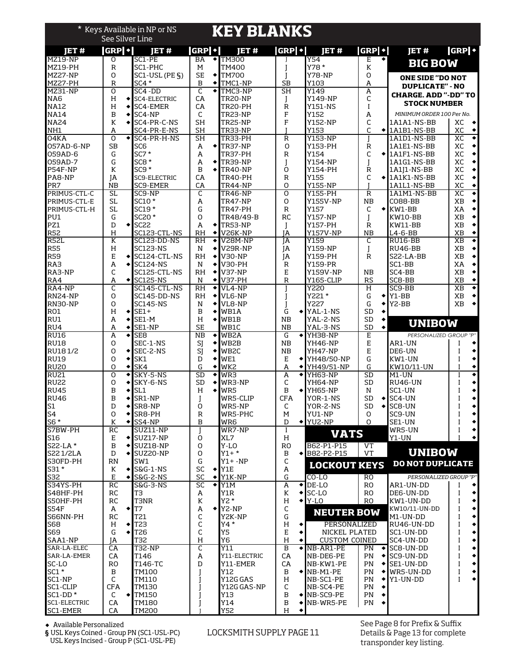|                                |                              |                 | * Keys Available in NP or NS<br><b>See Silver Line</b>         |                                     |           | <b>KEY BLANKS</b>                              |                        |                        |                                       |                          |           |                                                        |                                                            |
|--------------------------------|------------------------------|-----------------|----------------------------------------------------------------|-------------------------------------|-----------|------------------------------------------------|------------------------|------------------------|---------------------------------------|--------------------------|-----------|--------------------------------------------------------|------------------------------------------------------------|
| IET#                           | $ GRP \cdot $                |                 | <b>IET#</b>                                                    | $ GRP \cdot $                       |           | IET#                                           | <b>GRPI</b> •          |                        | IET#                                  | GRP ·                    |           | <b>JET#</b>                                            | <b>GRP</b>                                                 |
| MZ19-NP                        | O                            |                 | SC1-PE                                                         | BA<br>M                             |           | $\triangle$ TM300                              |                        |                        | Y54                                   | E                        |           | <b>BIG BOW</b>                                         |                                                            |
| MZ19-PH<br>MZ27-NP             | R<br>O                       |                 | SC1-PHC<br>$SC1-USL$ (PE $\S$ )                                | <b>SE</b>                           | ٠         | TM400<br><b>TM700</b>                          |                        |                        | Y78 *<br><b>Y78-NP</b>                | К<br>O                   |           |                                                        |                                                            |
| MZ27-PH                        | $\mathsf{R}$                 |                 | $SC4*$                                                         | B                                   | ٠         | TMC1-NP                                        | <b>SB</b>              |                        | Y103                                  | A                        |           | <b>ONE SIDE "DO NOT</b><br><b>DUPLICATE" - NO</b>      |                                                            |
| <b>MZ31-NP</b>                 | $\Omega$                     |                 | SC4-DD                                                         | C                                   | ٠         | TMC3-NP                                        | $\overline{\text{SH}}$ |                        | Y149                                  | A                        |           | <b>CHARGE. ADD "-DD" TO</b>                            |                                                            |
| NA <sub>6</sub><br><b>NA12</b> | H<br>H                       | ٠               | $\bigstar$ SC4-ELECTRIC<br>SC4-EMER                            | CA<br>CA                            |           | TR20-NP<br>TR20-PH                             | I<br>R                 |                        | Y149-NP<br>Y151-NS                    | C<br>I                   |           | <b>STOCK NUMBER</b>                                    |                                                            |
| <b>NA14</b>                    | B                            | ٠               | SC4-NP                                                         | C                                   |           | TR23-NP                                        | F                      |                        | Y152                                  | А                        |           | MINIMUM ORDER 100 Per No.                              |                                                            |
| <b>NA24</b>                    | К                            |                 | $\triangleleft$ SC4-PR-C-NS                                    | <b>SH</b>                           |           | TR25-NP                                        | $\mathbf{F}$           |                        | <b>Y152-NP</b><br>Y153                | C                        |           | 1A1A1-NS-BB                                            | XC<br>۰                                                    |
| NH1<br>04KA                    | А<br>O                       |                 | SC4-PR-E-NS<br>SC4-PR-H-NS                                     | <b>SH</b><br>$\overline{\text{SH}}$ |           | <b>TR33-NP</b><br>TR33-PH                      | $\mathbb R$            |                        | <b>Y153-NP</b>                        | C                        |           | $\bigtriangledown$ 1A1B1-NS-BB<br>1A1D1-NS-BB          | XC<br>$\blacklozenge$<br>◆<br>XC                           |
| 057AD-6-NP                     | <b>SB</b>                    |                 | SC <sub>6</sub>                                                | A                                   |           | $\big\{\text{TR37-NP}}$                        | O                      |                        | Y153-PH                               | R                        |           | 1A1E1-NS-BB                                            | XC<br>$\blacklozenge$                                      |
| 059AD-6                        | G                            |                 | $SC7*$                                                         | A                                   |           | TR37-PH                                        | $\mathbb R$            |                        | Y154                                  | C                        |           | $\blacklozenge$ 1A1F1-NS-BB                            | XC<br>$\blacklozenge$                                      |
| 059AD-7<br>P54F-NP             | G<br>К                       |                 | $SCB*$<br>$SC9*$                                               | A<br>B                              |           | $\bigstar$ TR39-NP<br>$\big\{\text{TR40-NP}}$  | I<br>O                 |                        | Y154-NP<br>Y154-PH                    | I<br>R                   |           | 1A1G1-NS-BB<br>1A1J1-NS-BB                             | $\blacklozenge$<br>ХC<br>XC<br>$\blacklozenge$             |
| PA8-NP                         | IA                           |                 | SC9-ELECTRIC                                                   | CA                                  |           | TR40-PH                                        | $\mathbb R$            |                        | <b>Y155</b>                           | C                        |           | $\bigstar$ 1A1K1-NS-BB                                 | XC<br>٠                                                    |
| PR7                            | <b>NB</b>                    |                 | SC9-EMER                                                       | CA                                  |           | TR44-NP                                        | O                      |                        | <b>Y155-NP</b>                        |                          |           | 1A1L1-NS-BB                                            | XC<br>$\blacklozenge$                                      |
| PRIMUS-CTL-C<br>PRIMUS-CTL-E   | <b>SL</b><br><b>SL</b>       |                 | SC9-NP<br>SC10 *                                               | C<br>A                              |           | <b>TR46-NP</b><br>TR47-NP                      | 0<br>O                 |                        | <b>Y155-PH</b><br><b>Y155V-NP</b>     | $\mathbb R$<br><b>NB</b> |           | 1A1M1-NS-BB<br><b>CO88-BB</b>                          | XC<br>٠<br>XB<br>$\blacklozenge$                           |
| PRIMUS-CTL-H                   | <b>SL</b>                    |                 | SC19 *                                                         | G                                   |           | TR47-PH                                        | $\mathbb R$            |                        | Y157                                  | C                        |           | $\blacktriangleright$ KW1-BB                           | XA<br>$\blacklozenge$                                      |
| PU1                            | G                            |                 | SC20 *                                                         | O                                   |           | TR48/49-B                                      | <b>RC</b>              |                        | <b>Y157-NP</b>                        |                          |           | KW10-BB                                                | $\blacklozenge$<br>XB                                      |
| PZ1                            | D                            |                 | $\triangleleft$ SC22                                           | A                                   |           | $\big\{\text{TR53-NP}}$                        | I                      |                        | Y157-PH                               | R                        |           | KW11-BB                                                | XB<br>$\blacklozenge$                                      |
| <b>R52</b><br><b>R52L</b>      | H<br>$\overline{\mathbf{K}}$ |                 | SC123-CTL-NS<br>SC123-DD-NS                                    | <b>RH</b><br>R <sub>H</sub>         | ٠<br>٠    | V26K-NP<br>V28M-NP                             | IA<br><b>IA</b>        |                        | <b>Y157V-NP</b><br>Y159               | NB<br>C                  |           | $L4 - 6 - BB$<br>RU16-BB                               | $\blacklozenge$<br>XB<br>$\overline{\bullet}$<br><b>XB</b> |
| <b>R55</b>                     | H                            |                 | <b>SC123-NS</b>                                                | N                                   | $\bullet$ | V29R-NP                                        | JA                     |                        | <b>Y159-NP</b>                        |                          |           | RU46-BB                                                | $\blacklozenge$<br>XB                                      |
| <b>R59</b>                     | E                            |                 | $\blacktriangleright$ SC124-CTL-NS                             | <b>RH</b>                           | $\bullet$ | <b>V30-NP</b>                                  | IA                     |                        | Y159-PH                               | R                        |           | S22-LA-BB                                              | $\blacklozenge$<br>XB                                      |
| RA3<br>RA3-NP                  | A                            |                 | <b>SC124-NS</b><br>SC125-CTL-NS                                | N<br><b>RH</b>                      | ٠         | V30-PH<br>◆【V37-NP                             | R<br>E                 |                        | Y159-PR                               | <b>NB</b>                |           | SC1-BB<br>SC4-BB                                       | $\blacklozenge$<br>XA<br>$\blacklozenge$<br>XB             |
| RA4                            | C<br>А                       |                 | $\triangleleft$ SC125-NS                                       | N                                   |           | $\big\{\big\}$ V37-PH                          | R                      |                        | Y159V-NP<br>Y165-CLIP                 | <b>RS</b>                |           | SC8-BB                                                 | XB<br>۰                                                    |
| RA4-NP                         | C                            |                 | SC145-CTL-NS                                                   | <b>RH</b>                           | ٠         | VL4-NP                                         |                        |                        | <b>Y220</b>                           | H                        |           | SC9-BB                                                 | $\overline{\bullet}$<br><b>XB</b>                          |
| RN24-NP                        | O                            |                 | SC145-DD-NS                                                    | <b>RH</b>                           | $\bullet$ | VL6-NP                                         |                        |                        | Y221 *                                | G                        | ٠         | Y1-BB                                                  | XB<br>$\blacklozenge$                                      |
| RN30-NP<br>RO1                 | O<br>Н                       |                 | <b>SC145-NS</b><br>$\triangleleft$ SE1+                        | N<br>B                              | ٠         | VL8-NP<br>WB1A                                 | I<br>G                 | ٠                      | Y227<br>YAL-1-NS                      | G<br><b>SD</b>           | ٠<br>٠    | $YZ-BB$                                                | $\blacklozenge$<br>XB                                      |
| RU1                            | A                            |                 | $\triangleleft$ SE1-M                                          | H                                   |           | $\triangleleft$ MB1B                           | NΒ                     |                        | YAL-2-NS                              | <b>SD</b>                | ٠         | <b>UNIBOW</b>                                          |                                                            |
| RU4                            | A                            |                 | $\triangle$ SE1-NP                                             | <b>SE</b>                           |           | WB1C                                           | <b>NB</b>              |                        | YAL-3-NS                              | <b>SD</b>                | $\bullet$ |                                                        |                                                            |
| RU16<br><b>RU18</b>            | A<br>O                       | ٠               | SE <sub>8</sub><br>SEC-1-NS                                    | $\overline{MB}$<br>SJ               | ٠<br>٠    | WB <sub>2</sub> A<br>WB2B                      | G<br><b>NB</b>         | ۰۱                     | YH38-NP<br>YH46-NP                    | E<br>E                   |           | PERSONALIZED GROUP "P"<br>AR1-UN                       | ٠                                                          |
| RU181/2                        | O                            |                 | $\triangleleft$ SEC-2-NS                                       | SI                                  | ٠         | WB <sub>2C</sub>                               | <b>NB</b>              |                        | <b>YH47-NP</b>                        | E                        |           | DE6-UN                                                 | ٠                                                          |
| <b>RU19</b>                    | O                            | ٠               | SK1                                                            | D                                   | ٠         | WE1                                            | Е                      |                        | YH48/50-NP                            | G                        |           | KW1-UN                                                 | ٠<br>T                                                     |
| <b>RU20</b><br><b>RU21</b>     | O<br>O                       | ٠<br>٠          | SK4<br>SKY-5-NS                                                | G<br><b>SD</b>                      | ٠<br>٠    | WK <sub>2</sub><br>WR3                         | A<br>A                 | $\bullet$<br>$\bullet$ | YH49/51-NP<br>YH63-NP                 | G<br>SD                  |           | KW10/11-UN<br>M1-UN                                    | ۰<br>I<br>◆<br>I                                           |
| <b>RU22</b>                    | 0                            | ٠               | SKY-6-NS                                                       | <b>SD</b>                           | ٠         | WR3-NP                                         | C                      |                        | YH64-NP                               | <b>SD</b>                |           | <b>RU46-UN</b>                                         | ٠<br>Ī                                                     |
| <b>RU45</b>                    | B                            |                 | SL <sub>1</sub>                                                | H                                   |           | WR5                                            | В                      | ٠                      | YH65-NP                               | N                        |           | SC1-UN                                                 | ٠                                                          |
|                                | В                            |                 | SR1-NP                                                         | J                                   |           | WR5-CLIP                                       | <b>CFA</b>             |                        | YOR-1-NS                              | ${\sf SD}$               |           | SC4-UN                                                 | 1                                                          |
| RU46<br>S1<br>S4               | D<br>O                       | ٠<br>٠          | SR8-NP<br>SR8-PH                                               | 0<br>$\mathbb R$                    |           | WR5-NP<br>WR5-PHC                              | C<br>м                 |                        | YOR-2-NS<br>YU1-NP                    | <b>SD</b><br>0           |           | $\big\{\cdot\}$ SC8-UN<br>SC9-UN                       | $\blacklozenge$<br>I<br>$\blacklozenge$                    |
| $S6*$                          | К                            | $\blacklozenge$ | SS4-NP                                                         | B                                   |           | WR6                                            | D                      | $\bullet$ $\vdash$     | YU2-NP                                | 0                        |           | SE1-UN                                                 | $\blacklozenge$                                            |
| S7BW-PH                        | <b>RC</b>                    |                 | SUZ11-NP                                                       |                                     |           | WR7-NP                                         | I                      |                        | <b>VATS</b>                           |                          |           | WR5-UN                                                 | ٠                                                          |
| S16<br>S22-LA*                 | E<br>$\, {\bf B}$            |                 | $\big\{\leftarrow\}$ SUZ17-NP<br>$\big\{\leftarrow\}$ SUZ18-NP | O<br>O                              |           | XL7<br>Y-LO                                    | H<br><b>RO</b>         |                        | B62-P1-P15                            | VT                       |           | Y1-UN                                                  | $\blacklozenge$                                            |
|                                | D                            |                 | $\big\{\mathsf{SUZ20}\text{-}\mathsf{NP}}$                     | 0                                   |           | $Y1 + *$                                       | B                      |                        | ◆ B82-P2-P15                          | <b>VT</b>                |           | <b>UNIBOW</b>                                          |                                                            |
| S22 1/2LA<br>S30FD-PH          | RN                           |                 | SW1                                                            | G                                   |           | $Y1+ - NP$                                     | C                      |                        | <b>LOCKOUT KEYS</b>                   |                          |           | <b>DO NOT DUPLICATE</b>                                |                                                            |
| S31 *<br>S32                   | K<br>$\mathbf E$             | ٠<br>٠          | S&G-1-NS<br>S&G-2-NS                                           | SC<br>SC                            |           | $\blacktriangleright$ Y1E<br>$\bigstar$ Y1K-NP | A<br>G                 |                        | $CO$ -LO                              | R0                       |           | PERSONALIZED GROUP "P"                                 |                                                            |
| S34YS-PH                       | RC                           |                 | S&G-3-NS                                                       | SC                                  | ٠         | Y1M                                            | А                      |                        | $\bigwedge$ DE-LO                     | RO                       |           | AR1-UN-DD                                              |                                                            |
| S48HF-PH<br>S50HF-PH           | <b>RC</b>                    |                 | T <sub>3</sub>                                                 | Α                                   |           | Y1R                                            | К                      |                        | $\triangleleft$ SC-LO                 | <b>RO</b>                |           | DE6-UN-DD                                              | $\blacklozenge$<br>Ī                                       |
|                                | RC                           |                 | <b>T3NR</b>                                                    | К                                   |           | Y2 *                                           | H                      |                        | $\blacktriangleright$ Y-LO            | <b>RO</b>                |           | KW1-UN-DD                                              | ٠<br>$\blacklozenge$<br>Ī                                  |
| <b>S54F</b><br>S66NN-PH        | А<br><b>RC</b>               |                 | $\triangleleft$ T7<br>T21                                      | А<br>C                              |           | $\bigstar$ Y2-NP<br>Y2K-NP                     | C<br>G                 |                        | <b>NEUTER BOW</b>                     |                          |           | KW10/11-UN-DD<br>M1-UN-DD                              | $\blacklozenge$<br>I                                       |
| S68                            | н                            |                 | $\blacktriangleright$ T23                                      | C                                   |           | Y4*                                            | H                      |                        | PERSONALIZED                          |                          |           | RU46-UN-DD                                             | $\blacklozenge$                                            |
| S69                            | G                            |                 | $\blacktriangleright$ T <sub>26</sub>                          | C                                   |           | Y5                                             | E                      |                        | NICKEL PLATED                         |                          |           | SC1-UN-DD                                              | $\blacklozenge$<br>I                                       |
| SAA1-NP<br>SAR-LA-ELEC         | ΙA<br>CA                     |                 | T32<br><b>T32-NP</b>                                           | Н<br>C                              |           | Y6<br>Y11                                      | H<br>B                 |                        | <b>CUSTOM COINED</b><br>NB-AR1-PE     | PN                       |           | SC4-UN-DD<br>$\big\{\mathsf{SCB\text{-}UN\text{-}DD}}$ | $\blacklozenge$<br>$\blacklozenge$                         |
| SAR-LA-EMER                    | CA                           |                 | T146                                                           | A                                   |           | Y11-ELECTRIC                                   | CA                     |                        | NB-DE6-PE                             | PN                       |           | $\big\{\mathsf{SC9\text{-}UN\text{-}DD}}$              | ٠                                                          |
| SC-LO                          | <b>RO</b>                    |                 | T146-TC                                                        | D                                   |           | Y11-EMER                                       | СA                     |                        | NB-KW1-PE                             | PN                       |           | $\blacktriangleright$ SE1-UN-DD                        | $\blacklozenge$                                            |
| $SC1*$<br>SC1-NP               | B<br>C                       |                 | TM100<br>TM110                                                 |                                     |           | Y12<br>Y12G GAS                                | $\, {\bf B}$<br>H      |                        | $\blacklozenge$ NB-M1-PE<br>NB-SC1-PE | PN<br>PN                 | ٠         | $\blacklozenge$ WR5-UN-DD<br>Y1-UN-DD                  | $\blacklozenge$<br>I<br>$\blacklozenge$<br>T               |
| SC1-CLIP                       | <b>CFA</b>                   |                 | TM130                                                          |                                     |           | Y12G GAS-NP                                    | C                      |                        | NB-SC4-PE                             | PN                       |           |                                                        |                                                            |
| SC1-DD*                        | C                            |                 | $\triangleleft$ TM150                                          |                                     |           | Y13                                            | В                      |                        | $\blacktriangleright$ NB-SC9-PE       | PN                       |           |                                                        |                                                            |
| SC1-ELECTRIC                   | CA                           |                 | TM180                                                          |                                     |           | Y14                                            | $\, {\bf B}$           | $\bullet$              | NB-WR5-PE                             | PN                       |           |                                                        |                                                            |
| SC1-EMER                       | CA                           |                 | <b>TM200</b>                                                   |                                     |           | <b>Y52</b>                                     | Н                      | ٠                      |                                       |                          |           |                                                        |                                                            |

Available Personalized

**§** USL Keys Coined - Group PN (SC1-USL-PC) USL Keys Incised - Group P (SC1-USL-PE)

#### LOCKSMITH SUPPLY PAGE 11

See Page 8 for Prefix & Suffix Details & Page 13 for complete transponder key listing.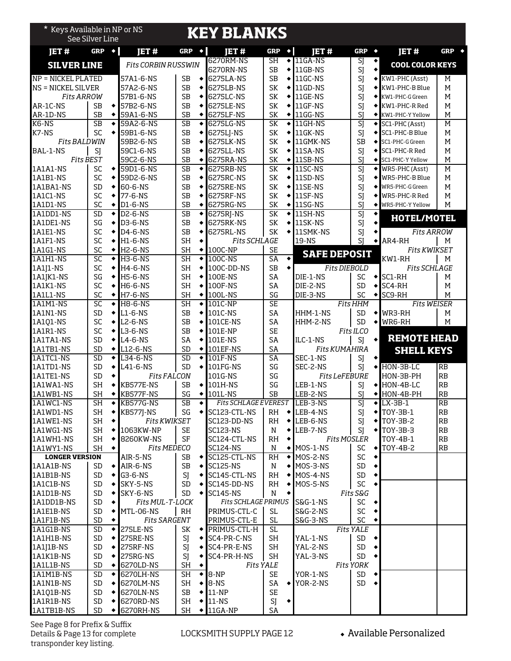| * Keys Available in NP or NS       | See Silver Line        |           |                                  |                                     |           | <b>KEY BLANKS</b>               |                              |                 |                      |                          |                      |                                   |                       |
|------------------------------------|------------------------|-----------|----------------------------------|-------------------------------------|-----------|---------------------------------|------------------------------|-----------------|----------------------|--------------------------|----------------------|-----------------------------------|-----------------------|
| JET#                               | GRP                    | $\bullet$ | <b>IET#</b>                      | GRP                                 | $\bullet$ | <b>IET#</b>                     | GRP                          | $\blacklozenge$ | <b>IET#</b>          | GRP                      | $\bullet$            | JET#                              | GRP $\leftrightarrow$ |
| <b>SILVER LINE</b>                 |                        |           | <b>Fits CORBIN RUSSWIN</b>       |                                     |           | 6270RM-NS                       | SH                           | ٠               | $11GA-NS$            | SJ                       | ٠                    | <b>COOL COLOR KEYS</b>            |                       |
| <b>NP = NICKEL PLATED</b>          |                        |           | 57A1-6-NS                        | SB                                  | ٠         | 6270RN-NS<br>6275LA-NS          | <b>SB</b><br><b>SB</b>       | ٠<br>٠          | 11GB-NS<br>11GC-NS   | SJ<br>SJ                 |                      | ◆ KW1-PHC (Asst)                  | M                     |
| <b>NS = NICKEL SILVER</b>          |                        |           | 57A2-6-NS                        | <b>SB</b>                           | ٠         | 6275LB-NS                       | SK                           | ٠               | 11GD-NS              | SJ                       | ٠                    | KW1-PHC-B Blue                    | M                     |
| <b>Fits ARROW</b>                  |                        |           | 57B1-6-NS                        | <b>SB</b>                           | ٠         | 6275LC-NS                       | SK                           | ٠               | 11GE-NS              | SJ                       |                      | KW1-PHC-G Green                   | M                     |
| AR-1C-NS                           | <b>SB</b>              | ٠         | 57B2-6-NS                        | <b>SB</b>                           |           | 6275LE-NS                       | SK                           | ٠               | 11GF-NS              | SJ                       |                      | KW1-PHC-R Red                     | M                     |
| AR-1D-NS                           | <b>SB</b>              |           | 59A1-6-NS                        | <b>SB</b>                           | ٠         | 6275LF-NS                       | SK                           | ٠               | 11GG-NS              | SJ                       |                      | KW1-PHC-Y Yellow                  | M                     |
| K6-NS                              | <b>SB</b><br>SC        | ٠         | 59A2-6-NS                        | $\overline{\text{SB}}$<br><b>SB</b> | ٠         | 6275LG-NS                       | SK                           | ٠<br>٠          | 11GH-NS<br>11GK-NS   | $\overline{\mathsf{SI}}$ | $\bullet$            | SC1-PHC (Asst)                    | $\overline{M}$<br>M   |
| K7-NS<br><b>Fits BALDWIN</b>       |                        |           | 59B1-6-NS<br>59B2-6-NS           | <b>SB</b>                           | ٠<br>٠    | 6275LJ-NS<br>6275LK-NS          | SK<br>SK                     | ٠               | 11GMK-NS             | SJ<br><b>SB</b>          | ٠                    | SC1-PHC-B Blue<br>SC1-PHC-G Green | M                     |
| BAL-1-NS                           | SJ                     |           | 59C1-6-NS                        | <b>SB</b>                           |           | 6275LL-NS                       | SK                           | ٠               | 11SA-NS              | SJ                       |                      | SC1-PHC-R Red                     | M                     |
| <b>Fits BEST</b>                   |                        |           | 59C2-6-NS                        | <b>SB</b>                           | ٠         | 6275RA-NS                       | SK                           |                 | 11SB-NS              | SJ                       |                      | SC1-PHC-Y Yellow                  | M                     |
| 1A1A1-NS                           | SC                     | ٠         | 59D1-6-NS                        | $\overline{\text{SB}}$              | ٠         | 6275RB-NS                       | SK                           | ٠               | 11SC-NS              | $\overline{SI}$          | ٠                    | WR5-PHC (Asst)                    | $\overline{M}$        |
| 1A1B1-NS                           | SC                     |           | 59D2-6-NS                        | <b>SB</b>                           | ٠         | 6275RC-NS                       | SK                           | ٠               | 11SD-NS              | SJ                       | ٠                    | WR5-PHC-B Blue                    | M                     |
| 1A1BA1-NS<br>1A1C1-NS              | <b>SD</b><br>SC        | ٠<br>٠    | 60-6-NS<br>77-6-NS               | <b>SB</b><br><b>SB</b>              | ٠         | 6275RE-NS<br>6275RF-NS          | SK<br>SK                     | ٠<br>٠          | 11SE-NS<br>11SF-NS   | SJ<br>SJ                 |                      | WR5-PHC-G Green<br>WR5-PHC-R Red  | M<br>M                |
| 1A1D1-NS                           | SC                     | ٠         | D1-6-NS                          | <b>SB</b>                           | ٠         | 6275RG-NS                       | SK                           | ٠               | 11SG-NS              | SI                       |                      | WR5-PHC-Y Yellow                  | M                     |
| 1A1DD1-NS                          | <b>SD</b>              | $\bullet$ | <b>D2-6-NS</b>                   | $\overline{\text{SB}}$              | ٠         | 6275RJ-NS                       | SK                           | ٠               | 11SH-NS              | $\overline{\text{S}}$    | ٠                    |                                   |                       |
| 1A1DE1-NS                          | SG                     | ٠         | D3-6-NS                          | <b>SB</b>                           | ٠         | 6275RK-NS                       | SK                           | ٠               | 11SK-NS              | SJ                       |                      | HOTEL/MOTEL                       |                       |
| 1A1E1-NS                           | SC                     | ٠         | D4-6-NS                          | <b>SB</b>                           | ٠         | 6275RL-NS                       | SK                           | ٠               | 11SMK-NS             | SJ                       | ٠                    | <b>Fits ARROW</b>                 |                       |
| 1A1F1-NS                           | SC                     |           | H1-6-NS                          | <b>SH</b>                           |           | <b>Fits SCHLAGE</b>             |                              |                 | 19-NS                | SI                       | ٠                    | AR4-RH                            | М                     |
| 1A1G1-NS<br>1A1H1-NS               | SC<br>SC               | ٠         | <b>H2-6-NS</b><br><b>H3-6-NS</b> | <b>SH</b><br>$\overline{\text{SH}}$ | ٠<br>٠    | 100C-NP<br>100C-NS              | <b>SE</b><br>$\overline{SA}$ | $\bullet$       | <b>SAFE DEPOSIT</b>  |                          |                      | <b>Fits KWIKSET</b><br>KW1-RH     | M                     |
| 1A1J1-NS                           | SC                     | ٠         | <b>H4-6-NS</b>                   | <b>SH</b>                           | ٠         | 100C-DD-NS                      | <b>SB</b>                    | ٠               | <b>Fits DIEBOLD</b>  |                          |                      | <b>Fits SCHLAGE</b>               |                       |
| 1A1JK1-NS                          | SG                     | ٠         | <b>H5-6-NS</b>                   | <b>SH</b>                           | ٠         | 100E-NS                         | SA                           |                 | DIE-1-NS             | <b>SC</b>                | ٠                    | SC1-RH                            | М                     |
| 1A1K1-NS                           | SC                     |           | <b>H6-6-NS</b>                   | <b>SH</b>                           | ٠         | 100F-NS                         | <b>SA</b>                    |                 | DIE-2-NS             | <b>SD</b>                | ۰                    | SC4-RH                            | М                     |
| 1A1L1-NS                           | SC                     | ٠         | <b>H7-6-NS</b>                   | <b>SH</b>                           | ٠         | 100L-NS                         | SG                           |                 | DIE-3-NS             | SC                       | ٠                    | SC9-RH                            | M                     |
| <b>1A1M1-NS</b>                    | SC                     | ٠         | <b>H8-6-NS</b>                   | $\overline{\text{SH}}$              | ٠         | 101C-NP                         | <b>SE</b>                    |                 |                      | <b>Fits HHM</b>          |                      | <b>Fits WEISER</b>                |                       |
| 1A1N1-NS                           | <b>SD</b>              | ٠         | $L1-6-NS$                        | <b>SB</b>                           | ٠         | 101C-NS                         | <b>SA</b>                    |                 | HHM-1-NS             | <b>SD</b>                | ٠                    | WR3-RH                            | м                     |
| 1A1Q1-NS<br>1A1R1-NS               | SC<br>SC               | ٠<br>٠    | L2-6-NS<br>L3-6-NS               | <b>SB</b><br><b>SB</b>              | ٠<br>٠    | 101CE-NS<br>101E-NP             | SA<br><b>SE</b>              |                 | HHM-2-NS             | <b>SD</b><br>Fits ILCO   | ٠                    | WR6-RH                            | M                     |
| 1A1TA1-NS                          | <b>SD</b>              | ٠         | $L4-6-NS$                        | SA                                  |           | 101E-NS                         | SA                           |                 | ILC-1-NS             | SJ                       | ٠                    | <b>REMOTE HEAD</b>                |                       |
| 1A1TB1-NS                          | <b>SD</b>              | ٠         | L12-6-NS                         | <b>SD</b>                           | ٠         | 101EF-NS                        | SA                           |                 | <b>Fits KUMAHIRA</b> |                          |                      | <b>SHELL KEYS</b>                 |                       |
| 1A1TC1-NS                          | $\overline{SD}$        | ٠         | L34-6-NS                         | SD                                  | ٠         | 101F-NS                         | SA                           |                 | SEC-1-NS             | SJ                       |                      |                                   |                       |
| 1A1TD1-NS                          | <b>SD</b>              | ٠         | L41-6-NS                         | <b>SD</b>                           | ٠         | 101FG-NS                        | SG                           |                 | SEC-2-NS             | SJ                       | ٠                    | HON-3B-LC                         | <b>RB</b>             |
| 1A1TE1-NS                          | <b>SD</b>              | ٠         | <b>Fits FALCON</b>               |                                     |           | 101G-NS                         | SG                           |                 | <b>Fits LeFEBURE</b> |                          |                      | HON-3B-PH                         | RB                    |
| 1A1WA1-NS<br>1A1WB1-NS             | <b>SH</b><br><b>SH</b> |           | KB577E-NS<br>KB577F-NS           | <b>SB</b><br>SG                     | ٠         | 101H-NS<br>101L-NS              | SG<br>SB                     |                 | LEB-1-NS<br>LEB-2-NS | SJ<br>SJ                 | ٠                    | HON-4B-LC<br>HON-4B-PH            | <b>RB</b><br>RB       |
| 1A1WC1-NS                          | SH                     | ٠         | KB577G-NS                        | SB                                  | ٠         | <b>Fits SCHLAGE EVEREST</b>     |                              |                 | LEB-3-NS             | SJ                       |                      | $\blacktriangleright$ LX-3B-1     | RB                    |
| 1A1WD1-NS                          | SH                     | ٠         | <b>KB577J-NS</b>                 | SG                                  | ٠         | SC123-CTL-NS                    | RH                           | $\bullet$       | LEB-4-NS             | SJ                       |                      | $\blacktriangleright$ TOY-3B-1    | $\mathbf{RB}$         |
| 1A1WE1-NS                          | SH                     | ٠         | <b>Fits KWIKSET</b>              |                                     |           | SC123-DD-NS                     | RH                           | ٠               | LEB-6-NS             | SJ                       | $\bullet$            | TOY-3B-2                          | $\mathbf{RB}$         |
| 1A1WG1-NS                          | SH                     |           | 1063KW-NP                        | <b>SE</b>                           |           | <b>SC123-NS</b>                 | N                            |                 | LEB-7-NS             | SJ                       |                      | $\blacktriangleright$ TOY-3B-3    | $\mathbf{RB}$         |
| 1A1WH1-NS                          | <b>SH</b>              |           | 8260KW-NS                        | SF                                  |           | SC124-CTL-NS                    | RH                           | ٠               | <b>Fits MOSLER</b>   |                          |                      | TOY-4B-1                          | RB                    |
| 1A1WY1-NS<br><b>LONGER VERSION</b> | SH                     | ٠         | <b>Fits MEDECO</b><br>AIR-5-NS   | SB                                  | ٠         | <b>SC124-NS</b><br>SC125-CTL-NS | N<br>RH                      | ۰               | MOS-1-NS<br>MOS-2-NS | SC<br>SC                 | $\blacklozenge$<br>٠ | TOY-4B-2                          | $\mathbf{RB}$         |
| 1A1A1B-NS                          | SD                     | ٠         | AIR-6-NS                         | <b>SB</b>                           |           | <b>SC125-NS</b>                 | N                            | ٠               | MOS-3-NS             | SD                       |                      |                                   |                       |
| 1A1B1B-NS                          | <b>SD</b>              |           | G3-6-NS                          | SI                                  |           | SC145-CTL-NS                    | <b>RH</b>                    |                 | MOS-4-NS             | $\mathsf{SD}$            | ۰                    |                                   |                       |
| 1A1C1B-NS                          | <b>SD</b>              | ٠         | SKY-5-NS                         | SD                                  |           | SC145-DD-NS                     | RH                           |                 | MOS-5-NS             | SC                       |                      |                                   |                       |
| 1A1D1B-NS                          | <b>SD</b>              | ٠         | SKY-6-NS                         | <b>SD</b>                           | ٠         | <b>SC145-NS</b>                 | N                            | ٠               |                      | Fits S&G                 |                      |                                   |                       |
| 1A1DD1B-NS                         | SD                     | ٠         | Fits MUL-T-LOCK                  |                                     |           | <b>Fits SCHLAGE PRIMUS</b>      |                              |                 | S&G-1-NS             | SC                       |                      |                                   |                       |
| 1A1E1B-NS<br>1A1F1B-NS             | <b>SD</b><br><b>SD</b> |           | MTL-06-NS<br><b>Fits SARGENT</b> | RH                                  |           | PRIMUS-CTL-C<br>PRIMUS-CTL-E    | SL.<br><b>SL</b>             |                 | S&G-2-NS<br>S&G-3-NS | SC<br>SC                 |                      |                                   |                       |
| 1A1G1B-NS                          | <b>SD</b>              | ٠         | 275LE-NS                         | SK                                  |           | ◆ PRIMUS-CTL-H                  | <b>SL</b>                    |                 |                      | <b>Fits YALE</b>         |                      |                                   |                       |
| 1A1H1B-NS                          | <b>SD</b>              |           | 275RE-NS                         | SJ                                  | ٠         | SC4-PR-C-NS                     | <b>SH</b>                    |                 | YAL-1-NS             | SD                       |                      |                                   |                       |
| 1A1J1B-NS                          | <b>SD</b>              | ٠         | 275RF-NS                         | SJ                                  | ٠         | SC4-PR-E-NS                     | SH                           |                 | YAL-2-NS             | SD                       |                      |                                   |                       |
| 1A1K1B-NS                          | <b>SD</b>              |           | 275RG-NS                         | SJ                                  | ٠         | SC4-PR-H-NS                     | SH                           |                 | YAL-3-NS             | SD                       |                      |                                   |                       |
| 1A1L1B-NS                          | SD                     |           | 6270LD-NS                        | SH                                  |           | <b>Fits YALE</b>                |                              |                 |                      | <b>Fits YORK</b>         |                      |                                   |                       |
| 1A1M1B-NS                          | SD                     | ٠         | 6270LH-NS                        | SH                                  | ٠         | 8-NP                            | SE                           |                 | YOR-1-NS             | SD                       |                      |                                   |                       |
| 1A1N1B-NS<br>1A1Q1B-NS             | SD<br>SD               | ٠<br>٠    | 6270LM-NS<br>6270LN-NS           | SH<br>SB                            | ٠<br>٠    | 8-NS<br>$11-NP$                 | SA<br><b>SE</b>              | ٠               | YOR-2-NS             | SD                       |                      |                                   |                       |
| 1A1R1B-NS                          | SD                     | ٠         | 6270RD-NS                        | <b>SH</b>                           | ٠         | $11-NS$                         | SJ                           | ٠               |                      |                          |                      |                                   |                       |
| 1A1TB1B-NS                         | SD                     |           | 6270RH-NS                        | SH                                  |           | $\blacklozenge$ 11GA-NP         | SA                           |                 |                      |                          |                      |                                   |                       |

See Page 8 for Prefix & Suffix Details & Page 13 for complete transponder key listing.

#### LOCKSMITH SUPPLY PAGE 12 <br>
Available Personalized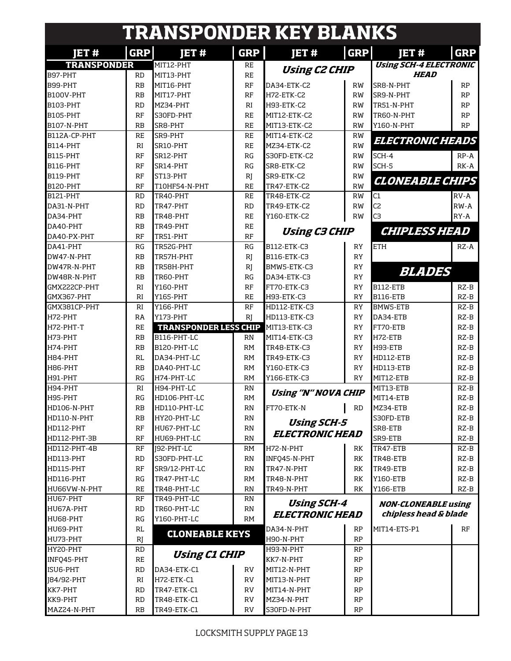|                    |            | <b>TRANSPONDER KEY BLANKS</b> |            |                               |            |                               |            |
|--------------------|------------|-------------------------------|------------|-------------------------------|------------|-------------------------------|------------|
| JET#               | <b>GRP</b> | <b>IET#</b>                   | <b>GRP</b> | JET#                          | <b>GRP</b> | <b>JET#</b>                   | <b>GRP</b> |
| <b>TRANSPONDER</b> |            | MIT12-PHT                     | <b>RE</b>  |                               |            | <b>Using SCH-4 ELECTRONIC</b> |            |
| B97-PHT            | <b>RD</b>  | MIT13-PHT                     | <b>RE</b>  | <b>Using C2 CHIP</b>          |            | <b>HEAD</b>                   |            |
| B99-PHT            | RB         | MIT16-PHT                     | RF         | DA34-ETK-C2                   | RW         | SR8-N-PHT                     | <b>RP</b>  |
| B100V-PHT          | RB         | MIT17-PHT                     | RF         | H72-ETK-C2                    | <b>RW</b>  | SR9-N-PHT                     | <b>RP</b>  |
| <b>B103-PHT</b>    | <b>RD</b>  | MZ34-PHT                      | RI         | H93-ETK-C2                    | RW         | TR51-N-PHT                    | <b>RP</b>  |
| <b>B105-PHT</b>    | RF         | S30FD-PHT                     | <b>RE</b>  | MIT12-ETK-C2                  | RW         | TR60-N-PHT                    | <b>RP</b>  |
| <b>B107-N-PHT</b>  | RB         | SR8-PHT                       | <b>RE</b>  | MIT13-ETK-C2                  | <b>RW</b>  | Y160-N-PHT                    | <b>RP</b>  |
| B112A-CP-PHT       | <b>RE</b>  | SR9-PHT                       | <b>RE</b>  | MIT14-ETK-C2                  | <b>RW</b>  |                               |            |
| <b>B114-PHT</b>    | RI         | SR10-PHT                      | <b>RE</b>  | MZ34-ETK-C2                   | <b>RW</b>  | <b>ELECTRONIC HEADS</b>       |            |
| <b>B115-PHT</b>    | RF         | SR12-PHT                      | RG         | S30FD-ETK-C2                  | <b>RW</b>  | $SCH-4$                       | $RP - A$   |
| <b>B116-PHT</b>    | RF         | SR14-PHT                      | RG         | SR8-ETK-C2                    | <b>RW</b>  | SCH-5                         | RK-A       |
| B119-PHT           | RF         | ST13-PHT                      | R          | SR9-ETK-C2                    | RW         |                               |            |
| <b>B120-PHT</b>    | RF         | T10HF54-N-PHT                 | <b>RE</b>  | TR47-ETK-C2                   | <b>RW</b>  | <b>CLONEABLE CHIPS</b>        |            |
| <b>B121-PHT</b>    | <b>RD</b>  | TR40-PHT                      | <b>RE</b>  | TR48-ETK-C2                   | <b>RW</b>  | C1                            | RV-A       |
| DA31-N-PHT         | <b>RD</b>  | TR47-PHT                      | <b>RD</b>  | TR49-ETK-C2                   | RW         | C <sub>2</sub>                | $RW-A$     |
| DA34-PHT           | RB         | TR48-PHT                      | <b>RE</b>  | Y160-ETK-C2                   | RW         | C <sub>3</sub>                | $RY - A$   |
| DA40-PHT           | RB         | TR49-PHT                      | <b>RE</b>  |                               |            |                               |            |
| DA40-PX-PHT        | RF         | TR51-PHT                      | RF         | <b>Using C3 CHIP</b>          |            | <b>CHIPLESS HEAD</b>          |            |
| DA41-PHT           | RG         | TR52G-PHT                     | RG         | B112-ETK-C3                   | <b>RY</b>  | <b>ETH</b>                    | $RZ-A$     |
| DW47-N-PHT         | RB         | TR57H-PHT                     | R          | B116-ETK-C3                   | <b>RY</b>  |                               |            |
| DW47R-N-PHT        | RB         | TR58H-PHT                     | R          | BMW5-ETK-C3                   | <b>RY</b>  |                               |            |
| DW48R-N-PHT        | RB         | TR60-PHT                      | RG         | DA34-ETK-C3                   | <b>RY</b>  | <b>BLADES</b>                 |            |
| GMX222CP-PHT       | RI         | Y160-PHT                      | RF         | FT70-ETK-C3                   | RY         | <b>B112-ETB</b>               | $RZ-B$     |
| GMX367-PHT         | RI         | Y165-PHT                      | <b>RE</b>  | H93-ETK-C3                    | <b>RY</b>  | <b>B116-ETB</b>               | $RZ-B$     |
| GMX381CP-PHT       | RI         | Y166-PHT                      | RF         | HD112-ETK-C3                  | RY         | BMW5-ETB                      | $RZ-B$     |
| H72-PHT            | RA         | Y173-PHT                      | RI         | HD113-ETK-C3                  | <b>RY</b>  | DA34-ETB                      | $RZ-B$     |
| H72-PHT-T          | <b>RE</b>  | <b>TRANSPONDER LESS CHIP</b>  |            | MIT13-ETK-C3                  | <b>RY</b>  | FT70-ETB                      | $RZ-B$     |
| H73-PHT            | RB         | B116-PHT-LC                   | RN         | MIT14-ETK-C3                  | RY         | H72-ETB                       | $RZ-B$     |
| H74-PHT            | RB         | B120-PHT-LC                   | <b>RM</b>  | TR48-ETK-C3                   | RY         | H93-ETB                       | $RZ-B$     |
| H84-PHT            | <b>RL</b>  | DA34-PHT-LC                   | <b>RM</b>  | TR49-ETK-C3                   | RY         | HD112-ETB                     | $RZ-B$     |
| H86-PHT            | RB         | DA40-PHT-LC                   | <b>RM</b>  | Y160-ETK-C3                   | <b>RY</b>  | HD113-ETB                     | $RZ-B$     |
| H91-PHT            | RG         | H74-PHT-LC                    | <b>RM</b>  | Y166-ETK-C3                   | RY         | MIT12-ETB                     | $RZ-B$     |
| H94-PHT            | RI         | H94-PHT-LC                    | RN         |                               |            | MIT13-ETB                     | $RZ-B$     |
| H95-PHT            | RG         | HD106-PHT-LC                  | RM         | <b>Using "N" NOVA CHIP</b>    |            | MIT14-ETB                     | $RZ-B$     |
| HD106-N-PHT        | RB         | HD110-PHT-LC                  | RN         | FT70-ETK-N                    | <b>RD</b>  | MZ34-ETB                      | $RZ-B$     |
| HD110-N-PHT        | RB         | HY20-PHT-LC                   | RN         |                               |            | S30FD-ETB                     | RZ-B       |
| HD112-PHT          | RF         | HU67-PHT-LC                   | RN         | <b>Using SCH-5</b>            |            | SR8-ETB                       | RZ-B       |
| HD112-PHT-3B       | RF         | HU69-PHT-LC                   | RN         | <i><b>ELECTRONIC HEAD</b></i> |            | SR9-ETB                       | $RZ-B$     |
| HD112-PHT-4B       | RF         | J92-PHT-LC                    | RM         | H72-N-PHT                     | RK         | TR47-ETB                      | RZ-B       |
| HD113-PHT          | RD         | S30FD-PHT-LC                  | RN         | INFO45-N-PHT                  | RK         | TR48-ETB                      | RZ-B       |
| HD115-PHT          | RF         | SR9/12-PHT-LC                 | RN         | TR47-N-PHT                    | RK         | TR49-ETB                      | RZ-B       |
| HD116-PHT          | RG         | TR47-PHT-LC                   | <b>RM</b>  | TR48-N-PHT                    | RK         | Y160-ETB                      | RZ-B       |
| HU66VW-N-PHT       | <b>RE</b>  | TR48-PHT-LC                   | RN         | TR49-N-PHT                    | RK         | Y166-ETB                      | RZ-B       |
| HU67-PHT           | RF         | TR49-PHT-LC                   |            |                               |            |                               |            |
|                    |            |                               | RN         | <b>Using SCH-4</b>            |            | <b>NON-CLONEABLE using</b>    |            |
| HU67A-PHT          | RD         | TR60-PHT-LC                   | RN         | <i><b>ELECTRONIC HEAD</b></i> |            | chipless head & blade         |            |
| HU68-PHT           | RG         | Y160-PHT-LC                   | RM         |                               |            |                               |            |
| HU69-PHT           | RL         | <b>CLONEABLE KEYS</b>         |            | DA34-N-PHT                    | RP         | MIT14-ETS-P1                  | RF         |
| HU73-PHT           | RJ         |                               |            | H90-N-PHT                     | RP         |                               |            |
| HY20-PHT           | RD         | <b>Using C1 CHIP</b>          |            | H93-N-PHT                     | <b>RP</b>  |                               |            |
| INFQ45-PHT         | <b>RE</b>  |                               |            | KK7-N-PHT                     | <b>RP</b>  |                               |            |
| ISU6-PHT           | RD         | DA34-ETK-C1                   | RV         | MIT12-N-PHT                   | RP         |                               |            |
| [84/92-PHT         | RI         | H72-ETK-C1                    | RV         | MIT13-N-PHT                   | RP         |                               |            |
| KK7-PHT            | RD         | TR47-ETK-C1                   | RV         | MIT14-N-PHT                   | RP         |                               |            |
| KK9-PHT            | <b>RD</b>  | TR48-ETK-C1                   | <b>RV</b>  | MZ34-N-PHT                    | RP         |                               |            |
| MAZ24-N-PHT        | RB         | TR49-ETK-C1                   | <b>RV</b>  | S30FD-N-PHT                   | RP         |                               |            |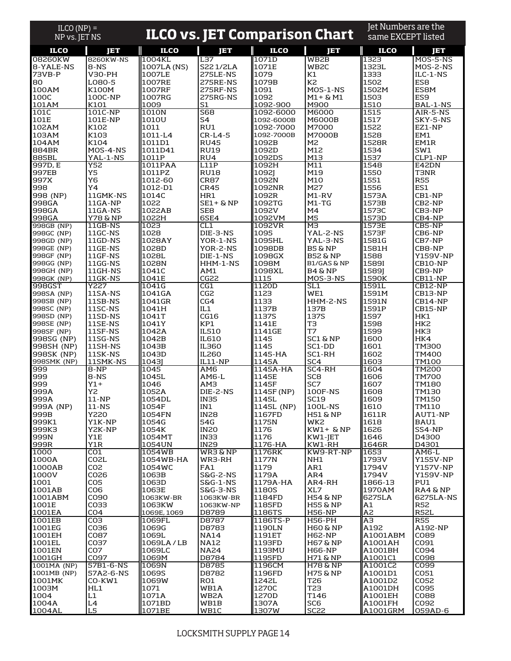| $ILCO (NP) =$<br>NP vs. JET NS |                                    |                     | <b>ILCO vs. JET Comparison Chart</b> |                        |                                   | Jet Numbers are the<br>same EXCEPT listed |                          |
|--------------------------------|------------------------------------|---------------------|--------------------------------------|------------------------|-----------------------------------|-------------------------------------------|--------------------------|
| <b>ILCO</b>                    | Ē                                  | <b>ILCO</b>         | <b>JET</b>                           | <b>ILCO</b>            | JΞT                               | <b>ILCO</b>                               | ד בן                     |
| 08260KW                        | 8260KW-NS                          | 1004KL              | L <sub>37</sub>                      | 1071D                  | WB <sub>2</sub> B                 | 1323                                      | MOS-5-NS                 |
| 8-YALE-NS                      | 8-NS                               | 1007LA (NS)         | S221/2LA                             | 1071E                  | WB <sub>2C</sub>                  | 1323L                                     | MOS-2-NS                 |
| 73VB-P<br>180                  | <b>V30-PH</b><br>L080-5            | 1007LE<br>1007RE    | 275LE-NS<br>275RE-NS                 | 1079<br>1079B          | Κ1<br>K2                          | 1333<br>1502                              | ILC-1-NS<br>ES8          |
| 100AM                          | K100M                              | 1007RF              | 275RF-NS                             | 1091                   | MOS-1-NS                          | 1502M                                     | ES8M                     |
| 100C                           | 100C-NP                            | 1007RG              | 275RG-NS                             | 1092                   | M1+ & M1                          | 1503                                      | ES9                      |
| 101AM<br>101C                  | K101<br>101C-NP                    | 1009<br>1010N       | S1<br><b>S68</b>                     | 1092-900<br>1092-6000  | M900<br>M6000                     | 1510<br>1515                              | BAL-1-NS<br>AIR-5-NS     |
| 101E                           | 101E-NP                            | 1010U               | S4                                   | 1092-6000B             | <b>M6000B</b>                     | 1517                                      | SKY-5-NS                 |
| 102AM                          | K102                               | 1011                | RU1                                  | 1092-7000              | M7000                             | 1522                                      | EZ1-NP                   |
| 103AM<br>104AM                 | K103<br>K104                       | 1011-L4<br>1011D1   | $CR-L4-5$<br><b>RU45</b>             | 1092-7000B<br>1092B    | <b>M7000B</b><br>M2               | 1528<br>1528R                             | EM1<br>EM1R              |
| 884BR                          | MOS-4-NS                           | 1011D41             | <b>RU19</b>                          | 1092D                  | M12                               | 1534                                      | SW1                      |
| 885BL                          | YAL-1-NS                           | 1011P               | RU4                                  | 1092DS                 | M13                               | 1537                                      | CLP1-NP                  |
| 997D, E<br>997EB               | Y52<br>Y5                          | 1011PAA             | L11P                                 | 1092H                  | M11<br>M19                        | 1548                                      | E42DN<br><b>T3NR</b>     |
| 997X                           | Y6                                 | 1011PZ<br>1012-60   | <b>RU18</b><br><b>CR87</b>           | 1092J<br>1092N         | M10                               | 1550<br>1551                              | <b>R55</b>               |
| 998                            | Y4                                 | 1012-D1             | <b>CR45</b>                          | 1092NR                 | M27                               | 1556                                      | ES1                      |
| 998 (NP)                       | 11GMK-NS                           | 1014C               | HR1                                  | 1092R                  | M1-RV                             | 1573A                                     | CB1-NP                   |
| 998GA<br>998GA                 | 11GA-NP<br>11GA-NS                 | 1022<br>1022AB      | $SE1+$ & NP<br>SE <sub>8</sub>       | 1092TG<br>1092V        | $M1-TG$<br>M4                     | 1573B<br>1573C                            | CB2-NP<br>CB3-NP         |
| 998GA                          | Y78 & NP                           | 1022H               | 6SE4                                 | 1092VM                 | M <sub>5</sub>                    | 1573D                                     | CB4-NP                   |
| 998GB (NP)                     | 11GB-NS                            | 1023                | CL1                                  | 1092VR                 | мз                                | 1573E                                     | CB5-NP                   |
| 998GC (NP)<br>998GD (NP)       | 11GC-NS<br>11GD-NS                 | 1028<br>1028AY      | DIE-3-NS<br>YOR-1-NS                 | 1095<br>1095HL         | YAL-2-NS<br>YAL-3-NS              | 1573F<br>1581G                            | CB6-NP<br>CB7-NP         |
| 998GE (NP)                     | 11GE-NS                            | 1028D               | YOR-2-NS                             | 1098DB                 | <b>B5 &amp; NP</b>                | 1581H                                     | CB8-NP                   |
| 998GF (NP)                     | 11GF-NS                            | 1028L               | DIE-1-NS                             | 1098GX                 | <b>B52 &amp; NP</b>               | 1588                                      | <b>Y159V-NP</b>          |
| 998GG (NP)<br>998GH (NP)       | 11GG-NS<br>11GH-NS                 | 1028N<br>1041C      | HHM-1-NS<br>AM1                      | 1098M<br>1098XL        | <b>B1/GAS &amp; NP</b><br>B4 & NP | <b>1589I</b>                              | CB10-NP<br>CB9-NP        |
| 998GK (NP)                     | 11GK-NS                            | 1041E               | CG22                                 | 1115                   | MOS-3-NS                          | 1589J<br>1590K                            | CB11-NP                  |
| 998GST                         | Y227                               | 1041G               | CG1                                  | 1120D                  | SL1                               | 1591L                                     | CB12-NP                  |
| 998SA (NP)                     | 11SA-NS                            | 1041GA              | CG <sub>2</sub><br>CG4               | 1123                   | WE1                               | 1591M                                     | CB13-NP                  |
| 998SB (NP)<br>998SC (NP)       | 11SB-NS<br>11SC-NS                 | 1041GR<br>1041H     | IL1                                  | 1133<br>1137B          | HHM-2-NS<br>137B                  | 1591N<br>1591P                            | CB14-NP<br>CB15-NP       |
| 998SD (NP)                     | 11SD-NS                            | 1041T               | CG16                                 | 1137S                  | 137S                              | 1597                                      | HK1                      |
| 998SE (NP)                     | 11SE-NS                            | 1041Y               | KP1                                  | 1141E                  | TЗ                                | 1598                                      | HK <sub>2</sub>          |
| 998SF (NP)<br>998SG (NP)       | 11SF-NS<br>11SG-NS                 | 1042A<br>1042B      | <b>IL510</b><br>IL610                | 1141GE<br>1145         | T7<br>SC1 & NP                    | 1599<br>1600                              | HK3<br>HK4               |
| 998SH (NP)                     | 11SH-NS                            | 1043B               | <b>IL360</b>                         | 1145                   | SC1-DD                            | 1601                                      | <b>TM300</b>             |
| 998SK (NP)                     | 11SK-NS                            | 1043D               | <b>IL260</b>                         | 1145-HA                | SC1-RH                            | 1602                                      | TM400                    |
| 998SMK (NP)<br>999             | 11SMK-NS<br>8-NP                   | 1043]<br>1045       | IL11-NP<br>AM <sub>6</sub>           | 1145A<br>1145A-HA      | SC <sub>4</sub><br>SC4-RH         | 1603<br>1604                              | TM100<br>TM200           |
| 999                            | 8-NS                               | 1045L               | AM6-L                                | 1145E                  | SC <sub>8</sub>                   | 1606                                      | <b>TM700</b>             |
| 999                            | $Y1+$                              | 1046                | AM3                                  | 1145F                  | SC <sub>7</sub>                   | 1607                                      | TM180                    |
| 999A<br>999A                   | Y2<br>$11-NP$                      | 1052A<br>1054DL     | DIE-2-NS<br><b>IN35</b>              | 1145F (NP)<br>1145L    | 100F-NS<br><b>SC19</b>            | 1608<br>1609                              | TM130<br><b>TM150</b>    |
| 999A (NP)                      | $11-NS$                            | 1054F               | IN1                                  | 1145L (NP)             | 100L-NS                           | 1610                                      | TM110                    |
| 999B                           | Y220                               | 1054FN              | <b>IN28</b>                          | 1167FD                 | <b>H51 &amp; NP</b>               | 1611R                                     | AUT1-NP                  |
| 999K1<br>999K3                 | Y1K-NP<br>Y2K-NP                   | 1054G<br>1054K      | 54G<br><b>IN20</b>                   | 1175N<br>1176          | WK2<br>$KW1+$ & NP                | 1618<br>1626                              | BAU1<br>SS4-NP           |
| 999N                           | Y1E                                | 1054MT              | IN33                                 | 1176                   | KW1-JET                           | 1646                                      | D4300                    |
| 999R                           | Y1R                                | 1054UN              | <b>IN29</b>                          | 1176-HA                | KW1-RH                            | 1646R                                     | D4301                    |
| 1000<br>1000A                  | CO1<br>CO <sub>2</sub> L           | 1054WB<br>1054WB-HA | <b>WR3&amp;NP</b><br>WR3-RH          | 1176RK<br>1177N        | KW9-RT-NP<br>NH1                  | 1653<br>1793V                             | AM6-L<br><b>Y155V-NP</b> |
| 1000AB                         | CO <sub>2</sub>                    | 1054WC              | FA1                                  | 1179                   | AR1                               | 1794V                                     | <b>Y157V-NP</b>          |
| 1000V                          | CO <sub>26</sub>                   | 1063B               | S&G-2-NS                             | 1179A                  | AR4                               | 1794V                                     | Y159V-NP                 |
| 1001<br>1001AB                 | CO <sub>5</sub><br>CO <sub>6</sub> | 1063D               | $S&G-1-NS$                           | 1179A-HA               | AR4-RH                            | 1866-13                                   | PU1                      |
| 1001ABM                        | CO90                               | 1063E<br>1063KW-BR  | S&G-3-NS<br>1063KW-BR                | <b>1180S</b><br>1184FD | XL7<br>H54 & NP                   | 1970AM<br>6275LA                          | RA4 & NP<br>6275LA-NS    |
| 1001E                          | CO33                               | 1063KW              | 1063KW-NP                            | 1185FD                 | <b>H55 &amp; NP</b>               | A1                                        | <b>R52</b>               |
| 1001EA<br>1001EB               | CO <sub>4</sub>                    | 1069E, 1069         | D8789                                | 1186TS                 | H56-NP                            | A <sub>2</sub>                            | <b>R52L</b>              |
| 1001EG                         | CO <sub>3</sub><br>CO36            | 1069FL<br>1069G     | D8787<br>D8783                       | 1186TS-P<br>1190LN     | <b>H56-PH</b><br>H60 & NP         | AЗ<br>A192                                | <b>R55</b><br>A192-NP    |
| 1001EH                         | C087                               | 1069L               | <b>NA14</b>                          | 1191ET                 | <b>H62-NP</b>                     | A1001ABM                                  | C089                     |
| 1001EL                         | CO37                               | 1069LA/LB           | <b>NA12</b>                          | 1193FD                 | <b>H67 &amp; NP</b>               | A1001AH                                   | CO91                     |
| 1001EN<br>1001GH               | CO <sub>7</sub><br>CO97            | 1069LC<br>1069M     | <b>NA24</b><br>D8784                 | 1193MU<br>1195FD       | H66-NP<br><b>H71 &amp; NP</b>     | A1001BH<br>A1001C1                        | CO94<br>CO98             |
| 1001MA (NP)                    | 57B1-6-NS                          | 1069N               | D8785                                | 1196CM                 | <b>H78 &amp; NP</b>               | A1001C2                                   | CO <sub>99</sub>         |
| 1001MB (NP)                    | 57A2-6-NS                          | <b>1069S</b>        | D8782                                | 1196FD                 | <b>H75 &amp; NP</b>               | A1001D1                                   | CO51                     |
| 1001MK<br>1003M                | CO-KW1<br>HL1                      | 1069W<br>1071       | RO1<br>WB1A                          | 1242L<br>1270C         | T26<br>T23                        | A1001D2<br>A1001DH                        | CO52<br>CO95             |
| 1004                           | L1                                 | 1071A               | WB2A                                 | 1270D                  | T146                              | A1001EH                                   | CO88                     |
| 1004A                          | L4                                 | 1071BD              | WB1B                                 | 1307A                  | SC6                               | A1001FH                                   | CO92                     |
| 1004AL                         | ${\tt LS}$                         | 1071BE              | WB1C                                 | 1307W                  | SC <sub>22</sub>                  | A1001GRM                                  | 059AD-6                  |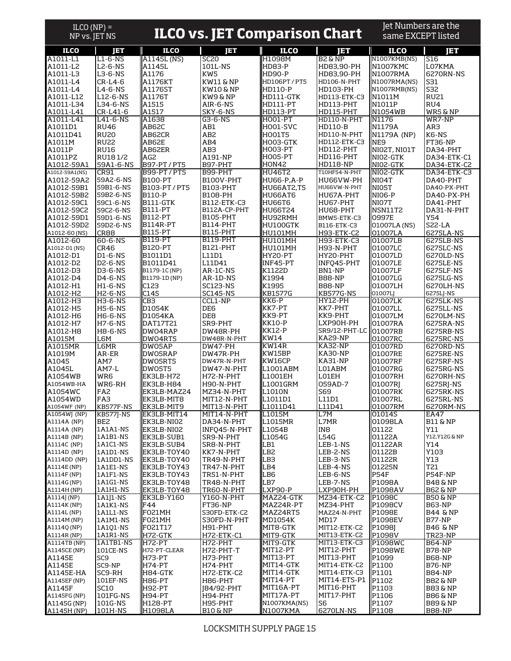| $ILCO (NP) =$                |                             |                                  |                                      |                                |                                   | Jet Numbers are the                |                                      |
|------------------------------|-----------------------------|----------------------------------|--------------------------------------|--------------------------------|-----------------------------------|------------------------------------|--------------------------------------|
| NP vs. JET NS                |                             |                                  | <b>ILCO vs. JET Comparison Chart</b> |                                |                                   | same EXCEPT listed                 |                                      |
| <b>ILCO</b>                  | JΕT                         | <b>ILCO</b>                      | Ē                                    | <b>ILCO</b>                    | Ē                                 | <b>ILCO</b>                        | Ē                                    |
| A1011-L1                     | $L1-6-NS$                   | A1145L (NS)                      | <b>SC20</b>                          | H1098M                         | <b>B2 &amp; NP</b>                | N1007KMB(NS)                       | S16                                  |
| A1011-L2<br>A1011-L3         | L2-6-NS<br>L3-6-NS          | A1145L<br>A1176                  | 101L-NS<br>KW5                       | <b>HD83-P</b><br><b>HD90-P</b> | HD83,90-PH<br>HD83,90-PH          | <b>N1007KMC</b><br><b>N1007RMA</b> | L07KMA<br>6270RN-NS                  |
| A1011-L4                     | $CR-L4-6$                   | A1176KT                          | KW11 & NP                            | HD106PT / PT5                  | HD106-N-PHT                       | N1007RMA(NS)                       | S31                                  |
| A1011-L4                     | L4-6-NS                     | A1176ST                          | KW10 & NP                            | <b>HD110-P</b>                 | HD103-PH                          | N1007RMB(NS)                       | S32                                  |
| A1011-L12                    | L12-6-NS                    | A1176T                           | KW9 & NP                             | HD111-GTK                      | HD113-ETK-C3                      | N1011M                             | <b>RU21</b>                          |
| A1011-L34<br>A1011-L41       | L34-6-NS<br>CR-L41-6        | A1515<br>A1517                   | AIR-6-NS<br>SKY-6-NS                 | HD111-PT<br><b>HD113-PT</b>    | HD113-PHT<br>HD115-PHT            | N1011P<br>N1054WB                  | RU4<br>WR5 & NP                      |
| A1011-L41                    | L41-6-NS                    | A1638                            | G3-6-NS                              | <b>HO01-PT</b>                 | HD110-N-PHT                       | N1176                              | WR7-NP                               |
| A1011D1                      | <b>RU46</b>                 | <b>AB62C</b>                     | AB1                                  | <b>HO01-SVC</b>                | <b>HD110-B</b>                    | N1179A                             | AR3                                  |
| A1011D41<br>A1011M           | <b>RU20</b><br><b>RU22</b>  | AB62CR<br>AB62E                  | AB <sub>2</sub><br>AB4               | <b>HOO1T5</b><br>HOO3-GTK      | HD110-N-PHT<br>HD112-ETK-C3       | N1179A (NP)<br>NE <sub>9</sub>     | K6-NS<br><b>FT36-NP</b>              |
| A1011P                       | <b>RU16</b>                 | AB62ER                           | AB3                                  | H003-PT                        | HD112-PHT                         | NIO2T, NIO1T                       | DA34-PHT                             |
| A1011PZ                      | RU181/2                     | AG2                              | A191-NP                              | <b>HO05-PT</b>                 | HD116-PHT                         | NIO2-GTK                           | DA34-ETK-C1                          |
| A1012-59A1                   | 59A1-6-NS                   | B97-PT / PT5                     | B97-PHT                              | HON42                          | <b>HD118-NP</b>                   | NIO2-GTK                           | DA34-ETK-C2                          |
| A1012-59A1(NS)<br>A1012-59A2 | <b>CR91</b><br>59A2-6-NS    | B99-PT/PT5<br><b>B100-PT</b>     | B99-PHT<br>B100V-PHT                 | <b>HU46T2</b><br>HU66-P,A-P    | <b>T10HF54-N-PHT</b><br>HU66VW-PH | NIO2-GTK<br>N <sub>IO4</sub> T     | DA34-ETK-C3<br>DA40-PHT              |
| A1012-59B1                   | 59B1-6-NS                   | B103-PT/PT5                      | <b>B103-PHT</b>                      | <b>HU66AT2,T5</b>              | HU66VW-N-PHT                      | NI05T                              | DA40-PX-PHT                          |
| A1012-59B2                   | 59B2-6-NS                   | <b>B110-P</b>                    | B108-PH                              | HU66AT6                        | HU67A-PHT                         | <b>NIO6-P</b>                      | DA40-PX-PH                           |
| A1012-59C1                   | 59C1-6-NS                   | B111-GTK                         | B112-ETK-C3                          | HU66T6                         | HU67-PHT                          | NI07T                              | DA41-PHT                             |
| A1012-59C2<br>A1012-59D1     | 59C2-6-NS<br>59D1-6-NS      | <b>B111-PT</b><br><b>B112-PT</b> | B112A-CP-PHT<br><b>B105-PHT</b>      | HU66T24<br>HU92RMH             | HU68-PHT<br>BMW5-ETK-C3           | NSN11T2<br>0997E                   | DA31-N-PHT<br>Y54                    |
| A1012-59D2                   | 59D2-6-NS                   | <b>B114R-PT</b>                  | <b>B114-PHT</b>                      | HU100GTK                       | B116-ETK-C3                       | 01007LA (NS)                       | <b>S22-LA</b>                        |
| A1012-60 (NS)                | <b>CR88</b>                 | <b>B115-PT</b>                   | B115-PHT                             | HU101MH                        | H93-ETK-C2                        | 01007LA                            | 6275LA-NS                            |
| A1012-60                     | $60 - 6 - NS$               | B119-PT                          | B119-PHT                             | <b>HU101MH</b>                 | H93-ETK-C3                        | 01007LB                            | 6275LB-NS                            |
| A1012-D1 (NS)                | <b>CR46</b>                 | <b>B120-PT</b>                   | <b>B121-PHT</b>                      | HU101MH                        | H93-N-PHT                         | 01007LC<br>01007LD                 | 6275LC-NS<br>6270LD-NS               |
| A1012-D1<br>A1012-D2         | D1-6-NS<br><b>D2-6-NS</b>   | B1011D1<br>B1011D41              | L11D1<br>L11D41                      | HY20-PT<br>INF45-PT            | HY20-PHT<br>INFO45-PHT            | 01007LE                            | 6275LE-NS                            |
| A1012-D3                     | D3-6-NS                     | B1179-1C (NP)                    | AR-1C-NS                             | K1122D                         | BN1-NP                            | 01007LF                            | 6275LF-NS                            |
| A1012-D4                     | D4-6-NS                     | B1179-1D (NP)                    | AR-1D-NS                             | K1994                          | <b>B88-NP</b>                     | 01007LG                            | 6275LG-NS                            |
| A1012-H1                     | $H1-6-NS$                   | C123                             | <b>SC123-NS</b>                      | K1995                          | <b>B88-NP</b>                     | 01007LH                            | 6270LH-NS                            |
| A1012-H2<br>A1012-H3         | <b>H2-6-NS</b><br>H3-6-NS   | C145<br>CB3                      | <b>SC145-NS</b><br>CCL1-NP           | KB1577G<br>KK6-P               | KB577G-NS<br>HY12-PH              | 01007LJ<br>01007LK                 | 6275LJ-NS<br>6275LK-NS               |
| A1012-H5                     | <b>H5-6-NS</b>              | D1054K                           | DE6                                  | KK7-PT                         | KK7-PHT                           | 01007LL                            | 6275LL-NS                            |
| A1012-H6                     | <b>H6-6-NS</b>              | D1054KA                          | DE8                                  | KK9-PT                         | KK9-PHT                           | 01007LM                            | 6270LM-NS                            |
| A1012-H7                     | <b>H7-6-NS</b>              | DAT17T21                         | SR9-PHT                              | KK10-P                         | LXP90H-PH                         | 01007RA                            | 6275RA-NS                            |
| A1012-H8<br>A1015M           | <b>H8-6-NS</b><br>L6M       | DW04RAP<br>DW04RT5               | DW48R-PH<br>DW48R-N-PHT              | KK12-P<br>KW14                 | SR9/12-PHT-LC<br>KA29-NP          | 01007RB<br>01007RC                 | 6275RB-NS<br>6275RC-NS               |
| A1015MR                      | L6MR                        | DW05AP                           | <b>DW47-PH</b>                       | KW14R                          | KA32-NP                           | 01007RD                            | 6270RD-NS                            |
| A1019M                       | AR-ER                       | <b>DWO5RAP</b>                   | DW47R-PH                             | KW15BP                         | <b>KA30-NP</b>                    | 01007RE                            | 6275RE-NS                            |
| A1045<br>A1045L              | AM7<br>AM7-L                | DW05RT5                          | DW47R-N-PHT                          | KW16CP                         | KA31-NP                           | 01007RF                            | 6275RF-NS                            |
| A1054WB                      | WR6                         | DW05T5<br>EK3LB-H72              | DW47-N-PHT<br>H72-N-PHT              | L1001ABM<br>L1001EH            | L01ABM<br>L01EH                   | 01007RG<br>01007RH                 | 6275RG-NS<br>6270RH-NS               |
| A1054WB-HA                   | WR6-RH                      | EK3LB-H84                        | H90-N-PHT                            | L1001GRM                       | 059AD-7                           | 01007RI                            | 6275RJ-NS                            |
| A1054WC                      | FA <sub>2</sub>             | EK3LB-MAZ24                      | MZ34-N-PHT                           | L1010N                         | S69                               | 01007RK                            | 6275RK-NS                            |
| A1054WD<br>A1054WF (NP)      | FA3<br>KB577F-NS            | EK3LB-MIT8<br>EK3LB-MIT9         | MIT12-N-PHT<br>MIT13-N-PHT           | L1011D1<br>L1011D41            | L11D1<br>L11D41                   | 01007RL<br>01007RM                 | 6275RL-NS<br>6270RM-NS               |
| A1054WJ (NP)                 | KB577J-NS                   | EK3LB-MIT14                      | MIT14-N-PHT                          | L1015M                         | L7M                               | 01014S                             | EA47                                 |
| A1114A (NP)                  | BE2                         | EK3LB-NI02                       | DA34-N-PHT                           | L1015MR                        | L7MR                              | 01098LA                            | <b>B11 &amp; NP</b>                  |
| A1114A (NP)                  | 1A1A1-NS                    | EK3LB-NI02                       | INFQ45-N-PHT                         | L1054B                         | IN <sub>8</sub>                   | 01122                              | Y11                                  |
| A1114B (NP)<br>A1114C (NP)   | 1A1B1-NS<br>1A1C1-NS        | EK3LB-SUB1<br>EK3LB-SUB4         | SR9-N-PHT<br>SR8-N-PHT               | L1054G<br>LB1                  | <b>L54G</b><br>LEB-1-NS           | 01122A<br>01122AR                  | Y12, Y12G & NP<br>Y14                |
| A1114D (NP)                  | 1A1D1-NS                    | EK3LB-TOY40                      | KK7-N-PHT                            | LB <sub>2</sub>                | LEB-2-NS                          | 01122B                             | Y103                                 |
| A1114DD (NP)                 | 1A1DD1-NS                   | EK3LB-TOY40                      | TR49-N-PHT                           | LB3                            | LEB-3-NS                          | 01122R                             | Y13                                  |
| A1114E (NP)                  | 1A1E1-NS                    | EK3LB-TOY43                      | TR47-N-PHT                           | LB4                            | LEB-4-NS                          | 01225N                             | T21                                  |
| A1114F (NP)<br>A1114G (NP)   | 1A1F1-NS<br>1A1G1-NS        | EK3LB-TOY43<br>EK3LB-TOY48       | TR51-N-PHT<br>TR48-N-PHT             | LB6<br>LB7                     | LEB-6-NS<br>LEB-7-NS              | <b>P54F</b><br>P1098A              | P54F-NP<br><b>B48 &amp; NP</b>       |
| A1114H (NP)                  | 1A1H1-NS                    | EK3LB-TOY48                      | TR60-N-PHT                           | LXP90-P                        | LXP90H-PH                         | P1098AV                            | <b>B62 &amp; NP</b>                  |
| A1114J(NP)                   | 1A1J1-NS                    | <b>EK3LB-Y160</b>                | Y160-N-PHT                           | MAZ24-GTK                      | MZ34-ETK-C2                       | P1098C                             | B50 & NP                             |
| A1114K (NP)                  | 1A1K1-NS                    | F44                              | <b>FT36-NP</b>                       | MAZ24R-PT                      | MZ34-PHT                          | P1098CV                            | <b>B63-NP</b>                        |
| A1114L (NP)<br>A1114M (NP)   | 1A1L1-NS<br>1A1M1-NS        | FO21MH<br>FO21MH                 | S30FD-ETK-C2<br>S30FD-N-PHT          | MAZ24RT5<br><b>MD1054K</b>     | MAZ24-N-PHT<br>MD17               | P1098E<br>P1098EV                  | <b>B44 &amp; NP</b><br><b>B77-NP</b> |
| A1114Q (NP)                  | 1A101-NS                    | F021T17                          | H91-PHT                              | MIT8-GTK                       | MIT12-ETK-C2                      | P1098J                             | <b>B46 &amp; NP</b>                  |
| A1114R (NP)                  | 1A1R1-NS                    | H72-GTK                          | H72-ETK-C1                           | MIT9-GTK                       | MIT13-ETK-C2                      | P1098V                             | TR23-NP                              |
| <b>A1114TB</b> (NP)          | 1A1TB1-NS                   | <b>H72-PT</b>                    | H72-PHT                              | MIT9-GTK                       | MIT13-ETK-C3                      | P1098WC                            | B64-NP                               |
| A1145CE (NP)<br>A1145E       | 101CE-NS<br>SC <sub>9</sub> | H72-PT-CLEAR<br><b>H73-PT</b>    | H72-PHT-T<br>H73-PHT                 | MIT12-PT<br>MIT13-PT           | MIT12-PHT<br>MIT13-PHT            | P1098WE<br>P1099                   | <b>B78-NP</b><br><b>B68-NP</b>       |
| A1145E                       | SC9-NP                      | H74-PT                           | H74-PHT                              | MIT14-GTK                      | MIT14-ETK-C2                      | P1100                              | <b>B76-NP</b>                        |
| A1145E-HA                    | SC9-RH                      | H84-GTK                          | H72-ETK-C2                           | MIT14-GTK                      | MIT14-ETK-C3                      | P1101                              | <b>B84-NP</b>                        |
| A1145EF (NP)                 | 101EF-NS                    | H86-PT                           | H86-PHT                              | MIT14-PT                       | MIT14-ETS-P1                      | P1102                              | B82 & NP                             |
| A1145F<br>A1145FG (NP)       | <b>SC10</b><br>101FG-NS     | <b>H92-PT</b><br>H94-PT          | [84/92-PHT<br>H94-PHT                | MIT16A-PT<br>MIT17A-PT         | MIT16-PHT<br>MIT17-PHT            | P1103<br>P1106                     | B83 & NP<br>B86 & NP                 |
| A1145G (NP)                  | 101G-NS                     | H128-PT                          | H95-PHT                              | N1007KMA(NS)                   | S <sub>6</sub>                    | P1107                              | <b>B89 &amp; NP</b>                  |
| A1145H (NP)                  | 101H-NS                     | H1098LA                          | <u>B10 &amp; NP</u>                  | N1007KMA                       | 6270LN-NS                         | P1108                              | <b>B88-NP</b>                        |

LOCKSMITH SUPPLY PAGE 15